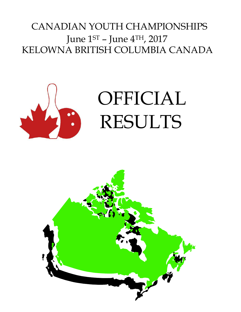# CANADIAN YOUTH CHAMPIONSHIPS June 1ST – June 4TH, 2017 KELOWNA BRITISH COLUMBIA CANADA



# OFFICIAL RESULTS

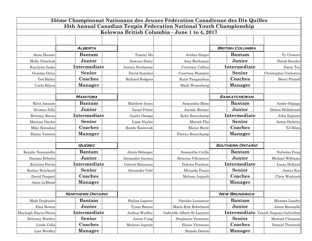| 35ème Championnat Nationaux des Jeunes Fédération Canadienne des Dix Quilles |                         |                      |                                              |                         |                                      |  |  |  |  |
|------------------------------------------------------------------------------|-------------------------|----------------------|----------------------------------------------|-------------------------|--------------------------------------|--|--|--|--|
| 35th Annual Canadian Tenpin Federation National Youth Championship           |                         |                      |                                              |                         |                                      |  |  |  |  |
|                                                                              |                         |                      | Kelowna British Columbia - June 1 to 4, 2017 |                         |                                      |  |  |  |  |
|                                                                              |                         |                      |                                              |                         |                                      |  |  |  |  |
|                                                                              | <b>ALBERTA</b>          |                      |                                              | <b>BRITISH COLUMBIA</b> |                                      |  |  |  |  |
| Alexa Hauser                                                                 | <b>Bantam</b>           | Tommy Ho             | Jordan Singer                                | <b>Bantam</b>           | Ty Clowers                           |  |  |  |  |
| Molly Nimchuk                                                                | Junior                  | Dawson Daley         | Amy Buchanan                                 | Junior                  | David Swailes                        |  |  |  |  |
| Kaytlynn Insko                                                               | Intermediate            | Austyn Ducharme      | <b>Courtney Collins</b>                      | Intermediate            | Darin Tsu                            |  |  |  |  |
| Gemma Oxley                                                                  | Senior                  | David Sanchez        | Courtney Hamann                              | Senior                  | Christopher Gutierrez                |  |  |  |  |
| Ted Bailey                                                                   | Coaches                 | Richard Rodgers      | Katie Panganiban                             | Coaches                 | <b>Brent Pinnell</b>                 |  |  |  |  |
| Carla Bilyea                                                                 | <b>Manager</b>          |                      | Mark Westerberg                              | <b>Manager</b>          |                                      |  |  |  |  |
|                                                                              |                         |                      |                                              |                         |                                      |  |  |  |  |
|                                                                              | <b>MANITOBA</b>         |                      |                                              | <b>SASKATCHEWAN</b>     |                                      |  |  |  |  |
| Rhea Amante                                                                  | <b>Bantam</b>           | Matthew Jones        | Samantha Bloss                               | <b>Bantam</b>           | Andre Odpaga                         |  |  |  |  |
| Kristen Jolly                                                                | Junior                  | <b>Israel Potter</b> | Jaymie Reimer                                | Junior                  | Dalton Hellebrand                    |  |  |  |  |
| Brittney Rocan                                                               | Intermediate            | Justin Omaga         | Kelsi Beauchamp                              | Intermediate            | John Espanol                         |  |  |  |  |
| Marissa Naylor                                                               | <b>Senior</b>           | Liam Naylor          | Mariah Pho                                   | <b>Senior</b>           | Aaron Doherty                        |  |  |  |  |
| Mike Boroskae                                                                | Coaches                 | Randy Kostenuk       | <b>Blaine Boyle</b>                          | Coaches                 | TJ Bilan                             |  |  |  |  |
| Elaine Yamron                                                                | <b>Manager</b>          |                      | Patrice Beauchamp                            | <b>Manager</b>          |                                      |  |  |  |  |
|                                                                              |                         |                      |                                              |                         |                                      |  |  |  |  |
|                                                                              | <b>QUÉBEC</b>           |                      |                                              | <b>SOUTHERN ONTARIO</b> |                                      |  |  |  |  |
| Koralie Normandin                                                            | <b>Bantam</b>           | Alexis Bélanger      | Samantha Cirillo                             | <b>Bantam</b>           | Nicholas Fung                        |  |  |  |  |
| Naomie Erbetta                                                               | Junior                  | Alexandre Gareau     | Brianna Villeneuve                           | Junior                  | Michael Williams                     |  |  |  |  |
| Kristina Fortin                                                              | Intermediate            | Gabriel Rousseau     | Dakota Faichnie                              | Intermediate            | Lucas Holland                        |  |  |  |  |
| Karine Bouchard                                                              | <b>Senior</b>           | Alexandre Côté       | Miranda Panas                                | <b>Senior</b>           | James Koo                            |  |  |  |  |
| David Poupart                                                                | Coaches                 |                      | Melissa Legault                              | Coaches                 | Chris Woolcock                       |  |  |  |  |
| Alain LeBlond                                                                | <b>Manager</b>          |                      |                                              | <b>Manager</b>          |                                      |  |  |  |  |
|                                                                              |                         |                      |                                              |                         |                                      |  |  |  |  |
|                                                                              | <b>NORTHERN ONTARIO</b> |                      |                                              | <b>NEW BRUNSWICK</b>    |                                      |  |  |  |  |
| Miah Duplassie                                                               | <b>Bantam</b>           | Hailan Laporte       | Natiska Lecouteur                            | <b>Bantam</b>           | Maxime Landry                        |  |  |  |  |
| Ema Bowen                                                                    | Junior                  | <b>Tyson Baxter</b>  | Marie-Kim Robichaud                          | Junior                  | Jason Rousselle                      |  |  |  |  |
| Hayleigh Hayes-Sheen                                                         | Intermediate            | Joshua Woolley       | Gabrielle Albert-St-Laurent                  |                         | Intermediate Yanick Duguay-Galluchon |  |  |  |  |
| Brittany Woolley                                                             | Senior                  | Aaron Craig          | Stephanie Vienneau                           | Senior                  | Michael Chiasson                     |  |  |  |  |
| Linda Cella                                                                  | Coaches                 | Melanie Ingram       | Elaine Vienneau                              | Coaches                 | Donald Theriault                     |  |  |  |  |
| Lisa Woolley                                                                 | <b>Manager</b>          |                      | Bianda Doiron                                | <b>Manager</b>          |                                      |  |  |  |  |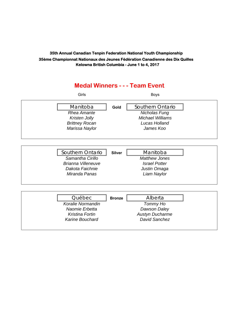### **Medal Winners - - - Team Event**

| Girls                     |               | <b>Boys</b>             |  |
|---------------------------|---------------|-------------------------|--|
| Manitoba                  | Gold          | Southern Ontario        |  |
| <b>Rhea Amante</b>        |               | Nicholas Fung           |  |
| Kristen Jolly             |               | <b>Michael Williams</b> |  |
| <b>Brittney Rocan</b>     |               | Lucas Holland           |  |
| Marissa Naylor            |               | James Koo               |  |
|                           |               |                         |  |
|                           |               |                         |  |
|                           |               |                         |  |
| Southern Ontario          | <b>Silver</b> | Manitoba                |  |
| Samantha Cirillo          |               | <b>Matthew Jones</b>    |  |
| <b>Brianna Villeneuve</b> |               | <i>Israel Potter</i>    |  |
| Dakota Faichnie           |               | Justin Omaga            |  |
| Miranda Panas             |               | Liam Naylor             |  |
|                           |               |                         |  |
|                           |               |                         |  |
|                           |               |                         |  |

| Koralie Normandin<br>Tommy Ho<br>Naomie Erbetta<br>Dawson Daley<br><b>Austyn Ducharme</b><br>Kristina Fortin | Québec                 | <b>Bronze</b> | Alberta       |
|--------------------------------------------------------------------------------------------------------------|------------------------|---------------|---------------|
|                                                                                                              |                        |               |               |
|                                                                                                              |                        |               |               |
|                                                                                                              |                        |               |               |
|                                                                                                              | <b>Karine Bouchard</b> |               | David Sanchez |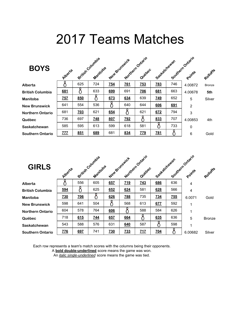# 2017 Teams Matches

| <b>BOYS</b>             | Alberta          |     | British Columbia<br>Manitoba | New Brunswick |            | Northern Ontario<br>Quebec | Saskatchewan |     | Southern Ontario<br>Points | Rolloffe      |
|-------------------------|------------------|-----|------------------------------|---------------|------------|----------------------------|--------------|-----|----------------------------|---------------|
| Alberta                 |                  | 625 | 724                          | 754           | <b>Z61</b> | $\underline{753}$          | <b>783</b>   | 746 | 4.00872                    | <b>Bronze</b> |
| <b>British Columbia</b> | 681              |     | 633                          | 699           | 691        | <b>Z06</b>                 | 681          | 663 | 4.00678                    | 5th           |
| <b>Manitoba</b>         | 757              | 850 |                              | 673           | 634        | 639                        | <b>749</b>   | 652 | 5                          | Silver        |
| <b>New Brunswick</b>    | 641              | 554 | 536                          |               | 640        | 644                        | 606          | 691 | $\overline{2}$             |               |
| <b>Northern Ontario</b> | 681              | 703 | 621                          | 654           | ő          | 621                        | 672          | 794 | 3                          |               |
| Québec                  | 736              | 697 | <b>748</b>                   | 807           | <b>Z92</b> |                            | 833          | 707 | 4.00853                    | 4th           |
| Saskatchewan            | 585              | 595 | 613                          | 599           | 618        | 581                        |              | 733 | 0                          |               |
| <b>Southern Ontario</b> | $\overline{111}$ | 851 | 689                          | 681           | 834        | <b>ZZ9</b>                 | <b>781</b>   |     | 6                          | Gold          |

| <b>GIRLS</b>            | Alberte    |            | British Columbia<br>Manitoba | New Brunswick |            | Northern Ontario<br>Quebec | Seattletchewan |     | Southern Ontario<br>Points | Rohoffe       |
|-------------------------|------------|------------|------------------------------|---------------|------------|----------------------------|----------------|-----|----------------------------|---------------|
| Alberta                 |            | 556        | 605                          | 657           | 719        | 743                        | 686            | 636 | 4                          |               |
| <b>British Columbia</b> | 594        |            | 625                          | 652           | 624        | 581                        | 628            | 566 | $\overline{4}$             |               |
| <b>Manitoba</b>         | <b>Z30</b> | <b>Z06</b> |                              | 626           | <b>Z88</b> | 735                        | <b>734</b>     | Z55 | 6.0071                     | Gold          |
| <b>New Brunswick</b>    | 598        | 641        | 504                          |               | 568        | 613                        | 677            | 592 |                            |               |
| <b>Northern Ontario</b> | 604        | 578        | 764                          | 606           |            | 588                        | 584            | 626 | 1                          |               |
| Québec                  | 718        | 615        | <u>744</u>                   | 657           | 664        | Č                          | 635            | 636 | 5                          | <b>Bronze</b> |
| Saskatchewan            | 543        | 588        | 576                          | 631           | 640        | 587                        |                | 598 |                            |               |
| <b>Southern Ontario</b> | <b>Z76</b> | 697        | 741                          | <b>Z30</b>    | 733        | 717                        | <b>Z04</b>     |     | 6.00682                    | Silver        |

Each row represents a team's match scores with the columns being their opponents.

A **bold double-underlined** score means the game was won.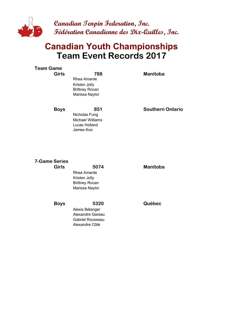

## **Team Event Records 2017 Canadian Youth Championships**

| <b>Team Game</b><br><b>Girls</b>     | 788<br><b>Rhea Amante</b><br>Kristen Jolly<br><b>Brittney Rocan</b><br>Marissa Naylor  | <b>Manitoba</b>         |
|--------------------------------------|----------------------------------------------------------------------------------------|-------------------------|
| <b>Boys</b>                          | 851<br>Nicholas Fung<br><b>Michael Williams</b><br>Lucas Holland<br>James Koo          | <b>Southern Ontario</b> |
| <b>7-Game Series</b><br><b>Girls</b> | 5074<br><b>Rhea Amante</b><br>Kristen Jolly<br><b>Brittney Rocan</b><br>Marissa Naylor | <b>Manitoba</b>         |
| <b>Boys</b>                          | 5320                                                                                   | Québec                  |

Alexis Bélanger Alexandre Gareau Gabriel Rousseau Alexandre Côté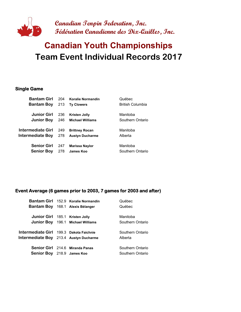

# **Team Event Individual Records 2017 Canadian Youth Championships**

#### **Single Game**

| 204 | <b>Koralie Normandin</b> | Québec                  |
|-----|--------------------------|-------------------------|
| 213 | <b>Ty Clowers</b>        | <b>British Columbia</b> |
| 236 | <b>Kristen Jolly</b>     | Manitoba                |
| 246 | <b>Michael Williams</b>  | Southern Ontario        |
| 249 | <b>Brittney Rocan</b>    | Manitoba                |
| 278 | <b>Austyn Ducharme</b>   | Alberta                 |
| 247 | <b>Marissa Naylor</b>    | Manitoba                |
| 278 | James Koo                | Southern Ontario        |
|     |                          |                         |

#### **Event Average (6 games prior to 2003, 7 games for 2003 and after)**

|                                         | Bantam Girl 152.9 Koralie Normandin      | Québec           |
|-----------------------------------------|------------------------------------------|------------------|
|                                         | Bantam Boy 168.1 Alexis Bélanger         | Québec           |
|                                         |                                          |                  |
| Junior Girl 185.1 Kristen Jolly         |                                          | Manitoba         |
|                                         | <b>Junior Boy</b> 196.1 Michael Williams | Southern Ontario |
|                                         |                                          |                  |
| Intermediate Girl 199.3 Dakota Faichnie |                                          | Southern Ontario |
| Intermediate Boy 213.4 Austyn Ducharme  |                                          | Alberta          |
|                                         |                                          |                  |
|                                         | Senior Girl 214.6 Miranda Panas          | Southern Ontario |
| Senior Boy 218.9 James Koo              |                                          | Southern Ontario |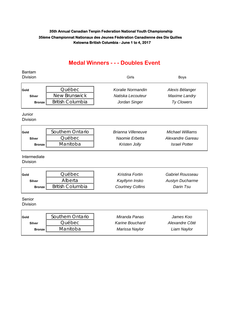### **Medal Winners - - - Doubles Event**

| <b>Bantam</b><br><b>Division</b> |                                | Girls                     | <b>Boys</b>             |  |  |
|----------------------------------|--------------------------------|---------------------------|-------------------------|--|--|
|                                  |                                |                           |                         |  |  |
| Gold                             | Québec<br><b>New Brunswick</b> | Koralie Normandin         | Alexis Bélanger         |  |  |
| <b>Silver</b>                    |                                | Natiska Lecouteur         | <b>Maxime Landry</b>    |  |  |
| <b>Bronze</b>                    | <b>British Columbia</b>        | Jordan Singer             | Ty Clowers              |  |  |
| Junior<br><b>Division</b>        |                                |                           |                         |  |  |
| Gold                             | Southern Ontario               | <b>Brianna Villeneuve</b> | <b>Michael Williams</b> |  |  |
| <b>Silver</b>                    | Québec                         | Naomie Erbetta            | Alexandre Gareau        |  |  |
| <b>Bronze</b>                    | Manitoba                       | Kristen Jolly             | <b>Israel Potter</b>    |  |  |
| Intermediate<br><b>Division</b>  |                                |                           |                         |  |  |
| Gold                             | Québec                         | <b>Kristina Fortin</b>    | Gabriel Rousseau        |  |  |
| <b>Silver</b>                    | Alberta                        | Kaytlynn Insko            | <b>Austyn Ducharme</b>  |  |  |
| <b>Bronze</b>                    | <b>British Columbia</b>        | <b>Courtney Collins</b>   | Darin Tsu               |  |  |
| Senior<br><b>Division</b>        |                                |                           |                         |  |  |
| Gold                             | Southern Ontario               | Miranda Panas             | James Koo               |  |  |
| <b>Silver</b>                    | Québec                         | <b>Karine Bouchard</b>    | Alexandre Côté          |  |  |
| <b>Bronze</b>                    | Manitoba                       | Marissa Naylor            | Liam Naylor             |  |  |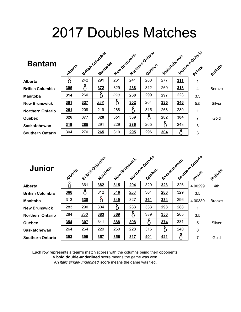# 2017 Doubles Matches

| <b>Bantam</b>           | Alberte |     | British Columbia<br>Manitoba |             | New Brunswick | Northern Ontario<br>Quebec | Saskatchewan |            | Southern Ontario<br>Points | Rolloffs      |
|-------------------------|---------|-----|------------------------------|-------------|---------------|----------------------------|--------------|------------|----------------------------|---------------|
| <b>Alberta</b>          |         | 242 | 291                          | 261         | 241           | 280                        | 277          | <u>311</u> |                            |               |
| <b>British Columbia</b> | 305     |     | 372                          | 329         | 238           | 312                        | 269          | 313        | 4                          | <b>Bornze</b> |
| Manitoba                | 314     | 260 |                              | <u> 298</u> | 260           | 299                        | 297          | 223        | 3.5                        |               |
| <b>New Brunswick</b>    | 301     | 337 | 298                          |             | 302           | 264                        | 335          | 346        | 5.5                        | Silver        |
| <b>Northern Ontario</b> | 261     | 209 | 219                          | 268         | 9             | 315                        | 268          | 280        |                            |               |
| Québec                  | 326     | 377 | 328                          | 351         | 339           |                            | 282          | 304        | 7                          | Gold          |
| Saskatchewan            | 319     | 285 | 291                          | 229         | 286           | 265                        |              | 243        | 3                          |               |
| <b>Southern Ontario</b> | 304     | 270 | 265                          | 310         | <u>295</u>    | 296                        | 304          |            | 3                          |               |

| Junior                  | Alberta |     | British Columbia<br>Manitoba |            | New Brunswick | Northern Ontario<br>Quebec | Sastatchewan |     | Southern Ontario<br>Points | Rohoffe       |
|-------------------------|---------|-----|------------------------------|------------|---------------|----------------------------|--------------|-----|----------------------------|---------------|
| Alberta                 |         | 361 | 382                          | 315        | <u>294</u>    | 320                        | 323          | 326 | 4.00299                    | 4th           |
| <b>British Columbia</b> | 366     |     | 312                          | 346        | 350           | 304                        | 280          | 329 | 3.5                        |               |
| <b>Manitoba</b>         | 313     | 338 |                              | 349        | 327           | 361                        | 334          | 296 | 4.00389                    | <b>Bronze</b> |
| <b>New Brunswick</b>    | 283     | 290 | 304                          |            | 283           | 333                        | 293          | 288 |                            |               |
| <b>Northern Ontario</b> | 284     | 350 | 383                          | 369        |               | 389                        | 350          | 265 | 3.5                        |               |
| Québec                  | 354     | 307 | 341                          | 388        | 398           |                            | 374          | 331 | 5                          | Silver        |
| <b>Saskatchewan</b>     | 264     | 264 | 229                          | 260        | 228           | 316                        |              | 240 | $\mathbf 0$                |               |
| <b>Southern Ontario</b> | 393     | 399 | 357                          | <b>356</b> | 317           | 401                        | 421          |     | 7                          | Gold          |

Each row represents a team's match scores with the columns being their opponents.

A **bold double-underlined** score means the game was won.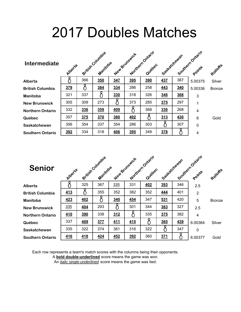# 2017 Doubles Matches

| <b>Intermediate</b>     | Alberte |            | British Columbia<br>Manitoba |            | New Bringwick | Northern Ontario<br>Quebec | Seattlefound. |     | Southern Ontario<br>Points | Rolloffs      |
|-------------------------|---------|------------|------------------------------|------------|---------------|----------------------------|---------------|-----|----------------------------|---------------|
| Alberta                 |         | 366        | <b>350</b>                   | 347        | 395           | <b>390</b>                 | <b>437</b>    | 387 | 5.00375                    | Silver        |
| <b>British Columbia</b> | 379     |            | 384                          | 334        | 286           | 258                        | 443           | 340 | 5.00336                    | <b>Bronze</b> |
| <b>Manitoba</b>         | 321     | 337        |                              | 330        | 318           | 326                        | 346           | 368 | 3                          |               |
| <b>New Brunswick</b>    | 305     | 309        | 273                          |            | 373           | 285                        | 375           | 297 | 1                          |               |
| <b>Northern Ontario</b> | 332     | <b>336</b> | 359                          | 409        |               | 368                        | 336           | 268 | 4                          |               |
| Québec                  | 357     | <b>375</b> | <b>370</b>                   | <b>380</b> | 402           |                            | 313           | 430 | $6\phantom{1}6$            | Gold          |
| Saskatchewan            | 356     | 354        | 337                          | 354        | 286           | 303                        |               | 307 | $\mathbf 0$                |               |
| <b>Southern Ontario</b> | 392     | 334        | 318                          | 406        | 395           | 349                        | 378           |     | 4                          |               |

| <b>Senior</b>           | Albert <sub>2</sub> |            | British Columbia<br>Manitoba |            | New Bringwick | Northern Ontario<br>Quebec | Seattletonewan |     | Southern Ontario<br>Points | Rohoffe       |
|-------------------------|---------------------|------------|------------------------------|------------|---------------|----------------------------|----------------|-----|----------------------------|---------------|
| Alberta                 |                     | 325        | 367                          | 335        | 331           | 402                        | 393            | 346 | 2.5                        |               |
| <b>British Columbia</b> | 413                 |            | 355                          | 352        | 382           | 352                        | 444            | 401 | $\overline{2}$             |               |
| <b>Manitoba</b>         | 423                 | <b>402</b> |                              | 340        | <b>454</b>    | 347                        | 531            | 420 | 5                          | <b>Bronze</b> |
| <b>New Brunswick</b>    | 335                 | 404        | 293                          |            | 301           | 344                        | 363            | 327 | 2.5                        |               |
| <b>Northern Ontario</b> | 410                 | 390        | 338                          | 312        |               | 335                        | 375            | 382 | $\overline{4}$             |               |
| Québec                  | 337                 | 409        | 377                          | <u>411</u> | 415           |                            | 365            | 439 | 6.00364                    | Silver        |
| <b>Saskatchewan</b>     | 335                 | 322        | 374                          | 361        | 316           | 322                        |                | 347 | $\mathbf 0$                |               |
| <b>Southern Ontario</b> | 416                 | 418        | 424                          | 452        | 392           | 360                        | 371            |     | 6.00377                    | Gold          |

Each row represents a team's match scores with the columns being their opponents.

A **bold double-underlined** score means the game was won.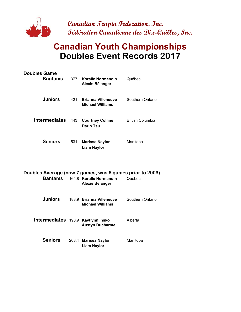

## **Canadian Youth Championships Doubles Event Records 2017**

| <b>Doubles Game</b><br>Bantams |       | 377 Koralie Normandin<br>Alexis Bélanger      | Québec                  |
|--------------------------------|-------|-----------------------------------------------|-------------------------|
| <b>Juniors</b>                 | 421   | <b>Brianna Villeneuve</b><br>Michael Williams | Southern Ontario        |
| <b>Intermediates</b>           | - 443 | <b>Courtney Collins</b><br>Darin Tsu          | <b>British Columbia</b> |
| <b>Seniors</b>                 | 531   | <b>Marissa Naylor</b><br><b>Liam Naylor</b>   | Manitoba                |

|                                    | Doubles Average (now 7 games, was 6 games prior to 2003)<br><b>Bantams</b> 164.8 Koralie Normandin<br>Alexis Bélanger | Québec           |
|------------------------------------|-----------------------------------------------------------------------------------------------------------------------|------------------|
| <b>Juniors</b>                     | 188.9 Brianna Villeneuve<br><b>Michael Williams</b>                                                                   | Southern Ontario |
| Intermediates 190.9 Kaytlynn Insko | <b>Austyn Ducharme</b>                                                                                                | Alberta          |
| <b>Seniors</b>                     | 208.4 Marissa Naylor<br><b>Liam Naylor</b>                                                                            | Manitoba         |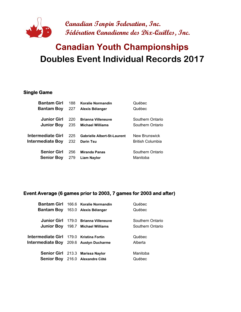

# **Doubles Event Individual Records 2017 Canadian Youth Championships**

#### **Single Game**

| <b>Bantam Girl</b> | 188 | <b>Koralie Normandin</b>           | Québec                  |
|--------------------|-----|------------------------------------|-------------------------|
| <b>Bantam Boy</b>  | 227 | Alexis Bélanger                    | Québec                  |
|                    |     |                                    |                         |
| <b>Junior Girl</b> | 220 | <b>Brianna Villeneuve</b>          | Southern Ontario        |
| <b>Junior Boy</b>  | 235 | <b>Michael Williams</b>            | Southern Ontario        |
|                    |     |                                    |                         |
| Intermediate Girl  | 225 | <b>Gabrielle Albert-St-Laurent</b> | New Brunswick           |
| Intermediate Boy   | 232 | <b>Darin Tsu</b>                   | <b>British Columbia</b> |
|                    |     |                                    |                         |
| <b>Senior Girl</b> | 256 | <b>Miranda Panas</b>               | Southern Ontario        |
| <b>Senior Boy</b>  | 279 | Liam Naylor                        | Manitoba                |
|                    |     |                                    |                         |

#### **Event Average (6 games prior to 2003, 7 games for 2003 and after)**

|                                         | Bantam Girl 166.6 Koralie Normandin  | Québec           |
|-----------------------------------------|--------------------------------------|------------------|
| Bantam Boy                              | 163.0 Alexis Bélanger                | Québec           |
|                                         | Junior Girl 179.0 Brianna Villeneuve | Southern Ontario |
|                                         |                                      |                  |
|                                         | Junior Boy 198.7 Michael Williams    | Southern Ontario |
|                                         |                                      |                  |
| Intermediate Girl 179.0 Kristina Fortin |                                      | Québec           |
| Intermediate Boy 209.6 Austyn Ducharme  |                                      | Alberta          |
|                                         | Senior Girl 213.3 Marissa Naylor     | Manitoba         |
|                                         |                                      |                  |
|                                         | Senior Boy 216.0 Alexandre Côté      | Québec           |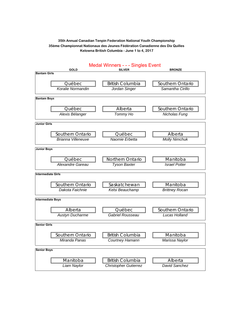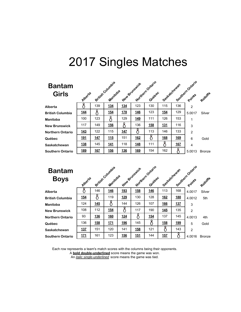### **Banta Girl**

| <b>Bantam</b><br><b>Girls</b> | Alperte    |     | British Columbia<br>Manitoba |            | New Brunswick | Northern Ontario<br>Quebec | Sockatchewan |            | Southern Ontario<br>Points | Rotloffs      |
|-------------------------------|------------|-----|------------------------------|------------|---------------|----------------------------|--------------|------------|----------------------------|---------------|
| Alberta                       |            | 139 | 134                          | 134        | 123           | 130                        | 115          | 136        | $\overline{2}$             |               |
| <b>British Columbia</b>       | 144        |     | <u>154</u>                   | <b>178</b> | <b>146</b>    | 123                        | 154          | 129        | 5.0017                     | Silver        |
| Manitoba                      | 100        | 123 |                              | 129        | 149           | 111                        | 126          | 153        | 1                          |               |
| <b>New Brunswick</b>          | 117        | 149 | <b>156</b>                   |            | 136           | <b>158</b>                 | 131          | 116        | 3                          |               |
| <b>Northern Ontario</b>       | 143        | 122 | 115                          | <b>147</b> | Ω             | 113                        | 146          | 133        | $\overline{2}$             |               |
| Québec                        | <u>191</u> | 147 | 115                          | 151        | <b>162</b>    |                            | <u>168</u>   | <u>169</u> | 6                          | Gold          |
| Saskatchewan                  | 138        | 145 | <u>141</u>                   | 118        | 148           | 111                        | 8            | <u>167</u> | 4                          |               |
| Southern Ontario              | 189        | 167 | 156                          | 136        | 169           | 154                        | 162          |            | 5.0013                     | <b>Bronze</b> |

| <b>Bantam</b><br><b>Boys</b> | Alperte    |            | British Country's<br>Manitoba |            | New Brunswick | Northern Ontario<br>Quebec | Seetablewan |            | Southern Ontario<br>Points | Rolloffe      |
|------------------------------|------------|------------|-------------------------------|------------|---------------|----------------------------|-------------|------------|----------------------------|---------------|
| Alberta                      |            | 146        | 146                           | 193        | 158           | 146                        | 113         | 168        | 4.0017                     | Silver        |
| <b>British Columbia</b>      | <u>154</u> |            | 119                           | <u>129</u> | 130           | 128                        | <b>162</b>  | <b>180</b> | 4.0012                     | 5th           |
| Manitoba                     | 124        | <b>145</b> |                               | 144        | 126           | 107                        | <b>166</b>  | 137        | 3                          |               |
| <b>New Brunswick</b>         | 108        | 112        | <b>154</b>                    |            | 117           | 190                        | <b>145</b>  | 135        | $\overline{2}$             |               |
| <b>Northern Ontario</b>      | 93         | 136        | <b>160</b>                    | 124        | Ω             | <b>154</b>                 | 137         | 145        | 4.0013                     | 4th           |
| Québec                       | 136        | 158        | 171                           | 196        | 145           | 8                          | 158         | 199        | 5                          | Gold          |
| Saskatchewan                 | <u>137</u> | 151        | 120                           | 141        | <u>158</u>    | 121                        | 8           | 143        | $\overline{2}$             |               |
| <b>Southern Ontario</b>      | <u>171</u> | 161        | 123                           | <b>156</b> | 151           | 144                        | 15Z         |            | 4.0016                     | <b>Bronze</b> |

Each row represents a team's match scores with the columns being their opponents.

A **bold double-underlined** score means the game was won.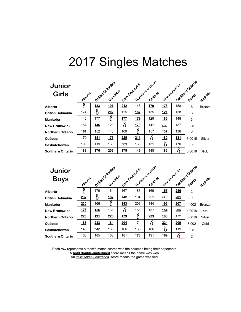### **Junior Girls**

| <b>Junior</b><br><b>Girls</b> | Alperte    |            | British Columbia<br>Manitoba |                 | New Brunswick | Northern Ontario<br>Quebec | Soskatchewan |            | Southern Ontario<br>Points | Rohoffe |
|-------------------------------|------------|------------|------------------------------|-----------------|---------------|----------------------------|--------------|------------|----------------------------|---------|
| Alberta                       |            | 183        | <u>197</u>                   | 212             | 143           | 179                        | <b>178</b>   | 158        | 5                          | Bronze  |
| <b>British Columbia</b>       | 174        |            | 202                          | 125             | <u>187</u>    | 135                        | <b>121</b>   | 138        | 3                          |         |
| Manitoba                      | 146        | 177        |                              | 17 <sub>Z</sub> | 179           | 129                        | 186          | 148        | 3                          |         |
| <b>New Brunswick</b>          | 157        | 146        | 120                          | Ω               | <u>170</u>    | 141                        | <u>128</u>   | 137        | 2.5                        |         |
| <b>Northern Ontario</b>       | <b>161</b> | 152        | 146                          | 109             |               | 157                        | 137          | 136        | $\overline{2}$             |         |
| Québec                        | 170        | <u>151</u> | 173                          | 225             | 211           | 8                          | <u>180</u>   | <u>181</u> | 6.0015                     | Silver  |
| Saskatchewan                  | 109        | 119        | 133                          | <u>128</u>      | 133           | 131                        |              | 170        | 0.5                        |         |
| Southern Ontario              | 188        | 176        | 203                          | 175             | 149           | 145                        | 186          |            | 6.0018                     | Gold    |

# **Junior**

| Southern Ontario<br>Rolloffs |
|------------------------------|
|                              |
|                              |
| <b>Bronze</b>                |
| 4th                          |
| Silver                       |
| Gold                         |
|                              |
|                              |
|                              |

Each row represents a team's match scores with the columns being their opponents.

A **bold double-underlined** score means the game was won.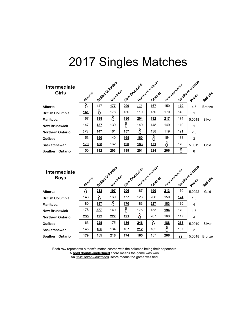| <b>Intermediate</b><br><b>Girls</b> | Alloerte    |            | British Country's<br>Manitoba |            | New Brunswick | Northern Ontario<br>Quebec | Socketchewan |            | Southern Ontario<br>Points | Rotloffe      |
|-------------------------------------|-------------|------------|-------------------------------|------------|---------------|----------------------------|--------------|------------|----------------------------|---------------|
| Alberta                             |             | 147        | 177                           | 200        | <u>178</u>    | <u>167</u>                 | 150          | <u>179</u> | 4.5                        | <b>Bronze</b> |
| <b>British Columbia</b>             | <u>161</u>  |            | 178                           | 130        | 110           | 150                        | 170          | 148        | 1                          |               |
| Manitoba                            | 167         | 198        | C                             | 180        | 204           | 192                        | 217          | 174        | 5.0018                     | Silver        |
| <b>New Brunswick</b>                | 147         | 137        | 139                           |            | 149           | 148                        | 149          | 119        | 1                          |               |
| <b>Northern Ontario</b>             | <u> 178</u> | <b>147</b> | 161                           | 157        |               | 138                        | 119          | 191        | 2.5                        |               |
| Québec                              | 153         | <u>190</u> | 140                           | <b>165</b> | <u>160</u>    |                            | 154          | 183        | 3                          |               |
| Saskatchewan                        | <u>179</u>  | <u>188</u> | 162                           | <u>190</u> | <u>183</u>    | <u>171</u>                 | 8            | 170        | 5.0019                     | Gold          |
| Southern Ontario                    | 150         | 192        | 203                           | 199        | 201           | 224                        | 206          |            | 6                          |               |

| <b>Intermediate</b><br><b>Boys</b> | Alberta    |             | exitian Countains<br>Manitoba |            | New Brunswick | Northernontario<br>Quebec | Society Meyber |     | Southern Ontario<br>Points | Rotloffe      |
|------------------------------------|------------|-------------|-------------------------------|------------|---------------|---------------------------|----------------|-----|----------------------------|---------------|
| Alberta                            |            | 213         | 197                           | 206        | 187           | 190                       | 213            | 170 | 5.0022                     | Gold          |
| <b>British Columbia</b>            | 143        |             | 169                           | 177        | 123           | 206                       | 150            | 174 | 1.5                        |               |
| Manitoba                           | 180        | <u>197</u>  |                               | <b>170</b> | 183           | 227                       | <u>183</u>     | 180 | $\overline{4}$             |               |
| <b>New Brunswick</b>               | 178        | <u> 177</u> | 149                           |            | 175           | 153                       | <u>194</u>     | 170 | 1.5                        |               |
| <b>Northern Ontario</b>            | <u>235</u> | <u> 192</u> | 227                           | <u>191</u> |               | 207                       | 160            | 117 | $\overline{4}$             |               |
| Québec                             | 163        | 225         | 175                           | 186        | 246           | ö                         | 188            | 253 | 5.0019                     | Silver        |
| Saskatchewan                       | 145        | 166         | 134                           | 167        | 212           | 185                       |                | 167 | $\mathfrak{p}$             |               |
| <b>Southern Ontario</b>            | <u>179</u> | 159         | 216                           | 174        | <b>165</b>    | 157                       | 206            |     | 5.0018                     | <b>Bronze</b> |

Each row represents a team's match scores with the columns being their opponents.

A **bold double-underlined** score means the game was won.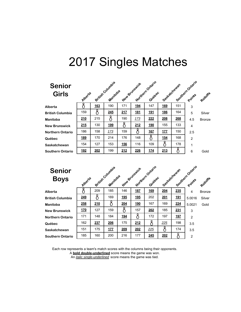### **Seni Girl**

| <b>Senior</b><br><b>Girls</b> | Alperte    |     | British Columbia<br>Manitoba |            | New Brunswick | Northern Ontario<br>Quebec | Socketchewan |     | Southern Ontario | Rohoffe       |
|-------------------------------|------------|-----|------------------------------|------------|---------------|----------------------------|--------------|-----|------------------|---------------|
| Alberta                       |            | 163 | 190                          | 171        | <u>194</u>    | 147                        | <u>169</u>   | 151 | 3                |               |
| <b>British Columbia</b>       | 159        | 8   | 245                          | 217        | <u>181</u>    | <u>191</u>                 | <u>186</u>   | 164 | 5                | Silver        |
| Manitoba                      | 210        | 215 | ĉ                            | 190        | 173           | 222                        | 208          | 268 | 4.5              | <b>Bronze</b> |
| <b>New Brunswick</b>          | 215        | 130 | <u>199</u>                   |            | 212           | <b>190</b>                 | 155          | 133 | 4                |               |
| <b>Northern Ontario</b>       | 186        | 158 | 173                          | 159        | 0             | <u>167</u>                 | 177          | 150 | 2.5              |               |
| Québec                        | <u>189</u> | 170 | 214                          | 176        | 148           | 8                          | <u>154</u>   | 168 | $\overline{2}$   |               |
| Saskatchewan                  | 154        | 127 | 153                          | <b>156</b> | 116           | 109                        | 8            | 178 | 1                |               |
| Southern Ontario              | <u>192</u> | 202 | 199                          | 212        | 226           | 174                        | 213          | 8   | 6                | Gold          |

| <b>Senior</b> |  |
|---------------|--|
| <b>Bovs</b>   |  |

| <b>Senior</b><br><b>Boys</b> | Alberta    |     | British Country's<br>Manitoba |            | Mortagem Ontario<br>New Brunswick | Quebec |            | Seeftachewan | Southern Ontario | Rolloffs      |
|------------------------------|------------|-----|-------------------------------|------------|-----------------------------------|--------|------------|--------------|------------------|---------------|
| Alberta                      |            | 209 | 185                           | 146        | 187                               | 169    | 204        | 235          | 4                | <b>Bronze</b> |
| <b>British Columbia</b>      | 249        |     | 169                           | <u>195</u> | <u>195</u>                        | 202    | <u>201</u> | <u>191</u>   | 5.0016           | Silver        |
| Manitoba                     | 258        | 210 | Č                             | 204        | <u>190</u>                        | 167    | 169        | 224          | 5.0021           | Gold          |
| <b>New Brunswick</b>         | <u>170</u> | 127 | 159                           |            | 157                               | 202    | 185        | 231          | 3                |               |
| <b>Northern Ontario</b>      | 171        | 148 | 184                           | <u>194</u> |                                   | 172    | 197        | <u>197</u>   | $\overline{2}$   |               |
| Québec                       | 162        | 237 | 206                           | 175        | 212                               |        | 225        | 198          | 3.5              |               |
| Saskatchewan                 | 151        | 175 | 177                           | 209        | 202                               | 225    |            | 174          | 3.5              |               |
| <b>Southern Ontario</b>      | 185        | 160 | 200                           | 216        | 177                               | 245    | 202        |              | $\overline{2}$   |               |

Each row represents a team's match scores with the columns being their opponents.

A **bold double-underlined** score means the game was won.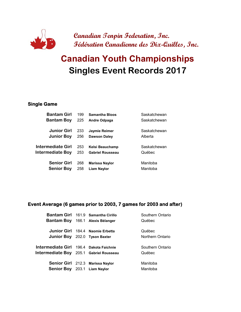

# **Singles Event Records 2017 Canadian Youth Championships**

#### **Single Game**

| <b>Bantam Girl</b> | 199 | <b>Samantha Bloos</b>   | Saskatchewan |
|--------------------|-----|-------------------------|--------------|
| <b>Bantam Boy</b>  | 225 | Andre Odpaga            | Saskatchewan |
| <b>Junior Girl</b> | 233 | Jaymie Reimer           | Saskatchewan |
| <b>Junior Boy</b>  | 256 | <b>Dawson Daley</b>     | Alberta      |
| Intermediate Girl  | 253 | Kelsi Beauchamp         | Saskatchewan |
| Intermediate Boy   | 253 | <b>Gabriel Rousseau</b> | Québec       |
| <b>Senior Girl</b> | 268 | <b>Marissa Naylor</b>   | Manitoba     |
| <b>Senior Boy</b>  | 258 | <b>Liam Naylor</b>      | Manitoba     |

#### **Event Average (6 games prior to 2003, 7 games for 2003 and after)**

|                                         | Bantam Girl 161.9 Samantha Cirillo | Southern Ontario |
|-----------------------------------------|------------------------------------|------------------|
|                                         | Bantam Boy 166.1 Alexis Bélanger   | Québec           |
|                                         |                                    |                  |
|                                         | Junior Girl 184.4 Naomie Erbetta   | Québec           |
| Junior Boy 202.0 Tyson Baxter           |                                    | Northern Ontario |
|                                         |                                    |                  |
| Intermediate Girl 196.4 Dakota Faichnie |                                    | Southern Ontario |
| Intermediate Boy 205.1 Gabriel Rousseau |                                    | Québec           |
|                                         |                                    |                  |
|                                         | Senior Girl 212.3 Marissa Naylor   | Manitoba         |
| Senior Boy 203.1 Liam Naylor            |                                    | Manitoba         |
|                                         |                                    |                  |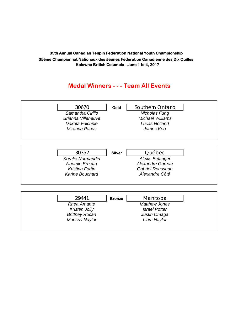### **Medal Winners - - - Team All Events**

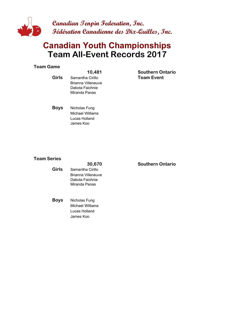

## **Team All-Event Records 2017 Canadian Youth Championships**

#### **Team Game**

**Girls** Samantha Cirillo Brianna Villeneuve Dakota Faichnie Miranda Panas

**10,481 SO Southern Ontario Team Event**

**Boys** Nicholas Fung Michael Williams Lucas Holland James Koo

#### **Team Series**

#### **Girls** Samantha Cirillo Brianna Villeneuve Dakota Faichnie Miranda Panas

**Boys** Nicholas Fung Michael Williams Lucas Holland James Koo

**30,670 SO Southern Ontario**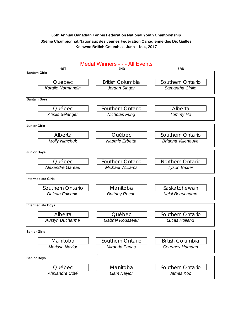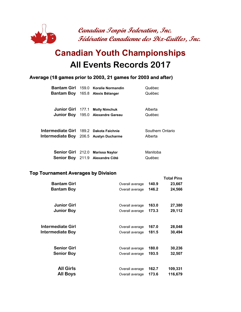

# **All Events Records 2017 Canadian Youth Championships**

#### **Average (18 games prior to 2003, 21 games for 2003 and after)**

|                                         | Bantam Girl 159.0 Koralie Normandin | Québec           |
|-----------------------------------------|-------------------------------------|------------------|
|                                         | Bantam Boy 165.8 Alexis Bélanger    | Québec           |
|                                         |                                     |                  |
|                                         | Junior Girl 177.1 Molly Nimchuk     | Alberta          |
|                                         | Junior Boy 195.0 Alexandre Gareau   | Québec           |
|                                         |                                     |                  |
| Intermediate Girl 189.2 Dakota Faichnie |                                     | Southern Ontario |
| Intermediate Boy 206.5 Austyn Ducharme  |                                     | Alberta          |
|                                         |                                     |                  |
|                                         | Senior Girl 212.0 Marissa Naylor    | Manitoba         |
|                                         | Senior Boy 211.9 Alexandre Côté     | Québec           |
|                                         |                                     |                  |

#### **Top Tournament Averages by Division**

| <b>Bantam Girl</b><br><b>Bantam Boy</b> | Overall average<br>Overall average | 140.9<br>146.2 | <b>Total Pins</b><br>23,667<br>24,566 |
|-----------------------------------------|------------------------------------|----------------|---------------------------------------|
| <b>Junior Girl</b>                      | Overall average                    | 163.0          | 27,380                                |
| <b>Junior Boy</b>                       | Overall average                    | 173.3          | 29,112                                |
| Intermediate Girl                       | Overall average                    | 167.0          | 28,048                                |
| Intermediate Boy                        | Overall average                    | 181.5          | 30,494                                |
| <b>Senior Girl</b>                      | Overall average                    | 180.0          | 30,236                                |
| <b>Senior Boy</b>                       | Overall average                    | 193.5          | 32,507                                |
| <b>All Girls</b>                        | Overall average                    | 162.7          | 109,331                               |
| <b>All Boys</b>                         | Overall average                    | 173.6          | 116,679                               |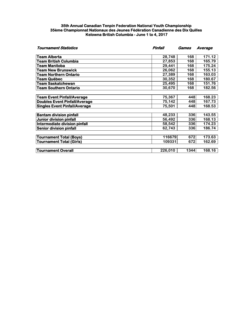| <b>Tournament Statistics</b>         | Pinfall | <b>Games</b> | Average |  |
|--------------------------------------|---------|--------------|---------|--|
| Team Alberta                         | 28,748  | 168          | 171.12  |  |
| <b>Team British Columbia</b>         | 27,853  | 168          | 165.79  |  |
| <b>Team Manitoba</b>                 | 29,441  | 168          | 175.24  |  |
| <b>Team New Brunswick</b>            | 26,062  | 168          | 155.13  |  |
| Team Northern Ontario                | 27,389  | 168          | 163.03  |  |
| <b>Team Québec</b>                   | 30,352  | 168          | 180.67  |  |
| <b>Team Saskatchewan</b>             | 25,495  | 168          | 151.76  |  |
| <b>Team Southern Ontario</b>         | 30,670  | 168          | 182.56  |  |
| Team Event Pinfall/Average           | 75,367  | 448          | 168.23  |  |
| <b>Doubles Event Pinfall/Average</b> | 75,142  | 448          | 167.73  |  |
| <b>Singles Event Pinfall/Average</b> | 75,501  | 448          | 168.53  |  |
| <b>Bantam division pinfall</b>       | 48,233  | 336          | 143.55  |  |
| <b>Junior division pinfall</b>       | 56,492  | 336          | 168.13  |  |
| Intermediate division pinfall        | 58,542  | 336          | 174.23  |  |
| <b>Senior division pinfall</b>       | 62,743  | 336          | 186.74  |  |
| Tournament Total (Boys)              | 116679  | 672          | 173.63  |  |
| <b>Tournament Total (Girls)</b>      | 109331  | 672          | 162.69  |  |
| <b>Tournament Overall</b>            | 226,010 | 1344         | 168.16  |  |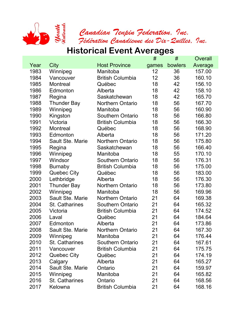

## **Historical Event Averages**

|      |                       |                         | #     | #       | Overall |
|------|-----------------------|-------------------------|-------|---------|---------|
| Year | City                  | <b>Host Province</b>    | games | bowlers | Average |
| 1983 | Winnipeg              | Manitoba                | 12    | 36      | 157.00  |
| 1984 | Vancouver             | <b>British Columbia</b> | 12    | 36      | 160.10  |
| 1985 | Montreal              | Québec                  | 18    | 42      | 156.10  |
| 1986 | Edmonton              | Alberta                 | 18    | 42      | 158.10  |
| 1987 | Regina                | Saskatchewan            | 18    | 42      | 165.70  |
| 1988 | <b>Thunder Bay</b>    | <b>Northern Ontario</b> | 18    | 56      | 167.70  |
| 1989 | Winnipeg              | Manitoba                | 18    | 56      | 160.90  |
| 1990 | Kingston              | <b>Southern Ontario</b> | 18    | 56      | 166.80  |
| 1991 | Victoria              | <b>British Columbia</b> | 18    | 56      | 166.30  |
| 1992 | <b>Montreal</b>       | Québec                  | 18    | 56      | 168.90  |
| 1993 | Edmonton              | Alberta                 | 18    | 56      | 171.20  |
| 1994 | Sault Ste. Marie      | <b>Northern Ontario</b> | 18    | 56      | 175.80  |
| 1995 | Regina                | Saskatchewan            | 18    | 56      | 166.40  |
| 1996 | Winnipeg              | Manitoba                | 18    | 55      | 170.10  |
| 1997 | Windsor               | <b>Southern Ontario</b> | 18    | 56      | 176.31  |
| 1998 | <b>Burnaby</b>        | <b>British Columbia</b> | 18    | 56      | 175.00  |
| 1999 | <b>Quebec City</b>    | Québec                  | 18    | 56      | 183.00  |
| 2000 | Lethbridge            | Alberta                 | 18    | 56      | 176.30  |
| 2001 | <b>Thunder Bay</b>    | <b>Northern Ontario</b> | 18    | 56      | 173.80  |
| 2002 | Winnipeg              | Manitoba                | 18    | 56      | 169.96  |
| 2003 | Sault Ste. Marie      | <b>Northern Ontario</b> | 21    | 64      | 169.38  |
| 2004 | St. Catharines        | <b>Southern Ontario</b> | 21    | 64      | 165.32  |
| 2005 | Victoria              | <b>British Columbia</b> | 21    | 64      | 174.52  |
| 2006 | Laval                 | Québec                  | 21    | 64      | 184.64  |
| 2007 | Edmonton              | Alberta                 | 21    | 64      | 173.86  |
| 2008 | Sault Ste. Marie      | <b>Northern Ontario</b> | 21    | 64      | 167.30  |
| 2009 | Winnipeg              | Manitoba                | 21    | 64      | 176.44  |
| 2010 | <b>St. Catharines</b> | Southern Ontario        | 21    | 64      | 167.61  |
| 2011 | Vancouver             | <b>British Columbia</b> | 21    | 64      | 175.75  |
| 2012 | Quebec City           | Québec                  | 21    | 64      | 174.19  |
| 2013 | Calgary               | Alberta                 | 21    | 64      | 165.27  |
| 2014 | Sault Ste. Marie      | Ontario                 | 21    | 64      | 159.97  |
| 2015 | Winnipeg              | Manitoba                | 21    | 64      | 165.82  |
| 2016 | St. Catharines        | Ontario                 | 21    | 64      | 168.56  |
| 2017 | Kelowna               | <b>British Columbia</b> | 21    | 64      | 168.16  |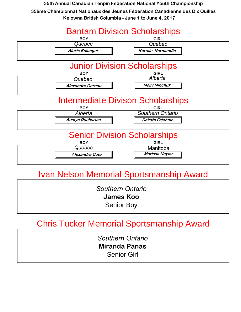

## Ivan Nelson Memorial Sportsmanship Award

*Southern Ontario*  **James Koo** Senior Boy

## Chris Tucker Memorial Sportsmanship Award

*Southern Ontario*  **Miranda Panas** Senior Girl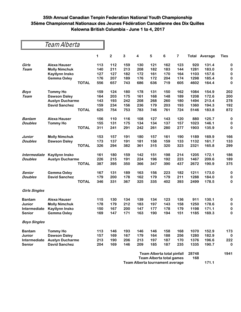| Team Alberta         |                        |              |     |                         |     |                         |     |                                   |     |       |                      |             |
|----------------------|------------------------|--------------|-----|-------------------------|-----|-------------------------|-----|-----------------------------------|-----|-------|----------------------|-------------|
|                      |                        |              | 1   | $\overline{\mathbf{c}}$ | 3   | $\overline{\mathbf{4}}$ | 5   | 6                                 | 7   |       | <b>Total Average</b> | <b>Ties</b> |
| Girls                | <b>Alexa Hauser</b>    |              | 113 | 112                     | 159 | 130                     | 121 | 162                               | 123 | 920   | 131.4                | 0           |
| <b>Team</b>          | <b>Molly Nimchuk</b>   |              | 140 | 211                     | 213 | 208                     | 182 | 183                               | 144 | 1281  | 183.0                | 0           |
|                      | Kaytlynn Insko         |              | 127 | 127                     | 182 | 172                     | 161 | 170                               | 164 | 1103  | 157.6                | 0           |
|                      | <b>Gemma Oxley</b>     |              | 176 | 207                     | 189 | 176                     | 172 | 204                               | 174 | 1298  | 185.4                | 0           |
|                      |                        | <b>TOTAL</b> | 556 | 657                     | 743 | 686                     | 636 | 719                               | 605 | 4602  | 164.4                | 0           |
| Boys                 | <b>Tommy Ho</b>        |              | 159 | 124                     | 180 | 178                     | 131 | 150                               | 162 | 1084  | 154.9                | 202         |
| Team                 | <b>Dawson Daley</b>    |              | 164 | 203                     | 175 | 161                     | 168 | 148                               | 189 | 1208  | 172.6                | 200         |
|                      | <b>Austyn Ducharme</b> |              | 143 | 193                     | 242 | 208                     | 268 | 260                               | 180 | 1494  | 213.4                | 278         |
|                      | <b>David Sanchez</b>   |              | 159 | 234                     | 156 | 236                     | 179 | 203                               | 193 | 1360  | 194.3                | 192         |
|                      |                        | <b>TOTAL</b> | 625 | 754                     | 753 | 783                     | 746 | 761                               | 724 | 5146  | 183.8                | 872         |
| <b>Bantam</b>        | <b>Alexa Hauser</b>    |              | 156 | 110                     | 116 | 108                     | 127 | 143                               | 120 | 880   | 125.7                | 0           |
| <b>Doubles</b>       | <b>Tommy Ho</b>        |              | 155 | 131                     | 175 | 134                     | 134 | 137                               | 157 | 1023  | 146.1                | 0           |
|                      |                        | <b>TOTAL</b> | 311 | 241                     | 291 | 242                     | 261 | 280                               | 277 | 1903  | 135.9                | 0           |
| Junior               | <b>Molly Nimchuk</b>   |              | 153 | 157                     | 191 | 180                     | 157 | 161                               | 190 | 1189  | 169.9                | 166         |
| <b>Doubles</b>       | <b>Dawson Daley</b>    |              | 173 | 137                     | 191 | 181                     | 158 | 159                               | 133 | 1132  | 161.7                | 133         |
|                      |                        | <b>TOTAL</b> | 326 | 294                     | 382 | 361                     | 315 | 320                               | 323 | 2321  | 165.8                | 299         |
| <b>Intermediate</b>  | <b>Kaytlynn Insko</b>  |              | 161 | 180                     | 159 | 142                     | 151 | 198                               | 214 | 1205  | 172.1                | 186         |
| <b>Doubles</b>       | <b>Austyn Ducharme</b> |              | 226 | 215                     | 191 | 224                     | 196 | 192                               | 223 | 1467  | 209.6                | 189         |
|                      |                        | <b>TOTAL</b> | 387 | 395                     | 350 | 366                     | 347 | 390                               | 437 | 2672  | 190.9                | 375         |
| Senior               | <b>Gemma Oxley</b>     |              | 167 | 131                     | 189 | 163                     | 156 | 223                               | 182 | 1211  | 173.0                | 0           |
| <b>Doubles</b>       | <b>David Sanchez</b>   |              | 179 | 200                     | 178 | 162                     | 179 | 179                               | 211 | 1288  | 184.0                | 0           |
|                      |                        | <b>TOTAL</b> | 346 | 331                     | 367 | 325                     | 335 | 402                               | 393 | 2499  | 178.5                | 0           |
| <b>Girls Singles</b> |                        |              |     |                         |     |                         |     |                                   |     |       |                      |             |
| <b>Bantam</b>        | <b>Alexa Hauser</b>    |              | 115 | 130                     | 134 | 139                     | 134 | 123                               | 136 | 911   | 130.1                | 0           |
| Junior               | <b>Molly Nimchuk</b>   |              | 178 | 179                     | 212 | 183                     | 197 | 143                               | 158 | 1250  | 178.6                | 0           |
| Intermediate         | Kaytlynn Insko         |              | 150 | 167                     | 200 | 147                     | 177 | 178                               | 179 | 1198  | 171.1                | 0           |
| <b>Senior</b>        | <b>Gemma Oxley</b>     |              | 169 | 147                     | 171 | 163                     | 190 | 194                               | 151 | 1185  | 169.3                | 0           |
| <b>Boys Singles</b>  |                        |              |     |                         |     |                         |     |                                   |     |       |                      |             |
| <b>Bantam</b>        | <b>Tommy Ho</b>        |              | 113 | 146                     | 193 | 146                     | 146 | 158                               | 168 | 1070  | 152.9                | 173         |
| Junior               | <b>Dawson Daley</b>    |              | 157 | 169                     | 167 | 179                     | 164 | 188                               | 256 | 1280  | 182.9                | $\bf{0}$    |
| Intermediate         | <b>Austyn Ducharme</b> |              | 213 | 190                     | 206 | 213                     | 197 | 187                               | 170 | 1376  | 196.6                | 222         |
| <b>Senior</b>        | <b>David Sanchez</b>   |              | 204 | 169                     | 146 | 209                     | 185 | 187                               | 235 | 1335  | 190.7                | $\mathbf 0$ |
|                      |                        |              |     |                         |     |                         |     | <b>Team Alberta total pinfall</b> |     | 28748 |                      | 1941        |

| <b>TUANT AND GEAR LOCAL DINNAIL</b> | <u> 2017 - 20</u> |       |  |
|-------------------------------------|-------------------|-------|--|
| Team Alberta total games            | 168               |       |  |
| Team Alberta tournament average     |                   | 171.1 |  |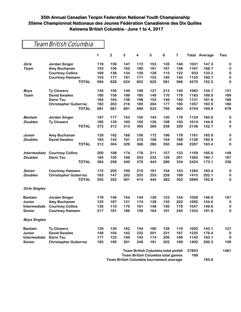### Team British Columbia

|                      |                              | 1   | $\mathbf 2$                                | 3   | 4   | 5                                        | 6   | 7     |      | <b>Total Average</b> | <b>Ties</b> |
|----------------------|------------------------------|-----|--------------------------------------------|-----|-----|------------------------------------------|-----|-------|------|----------------------|-------------|
| Girls                | <b>Jordan Singer</b>         | 119 | 159                                        | 147 | 172 | 153                                      | 135 | 146   | 1031 | 147.3                | $\bf{0}$    |
| Team                 | Amy Buchanan                 | 153 | 156                                        | 162 | 180 | 191                                      | 181 | 158   | 1181 | 168.7                | $\pmb{0}$   |
|                      | <b>Courtney Collins</b>      | 169 | 136                                        | 134 | 129 | 128                                      | 115 | 122   | 933  | 133.3                | $\bf{0}$    |
|                      | <b>Courtney Hamann</b>       | 153 | 177                                        | 181 | 171 | 153                                      | 150 | 140   | 1125 | 160.7                | 0           |
|                      | <b>TOTAL</b>                 | 594 | 628                                        | 624 | 652 | 625                                      | 581 | 566   | 4270 | 152.5                | 0           |
| <b>Boys</b>          | <b>Ty Clowers</b>            | 135 | 156                                        | 149 | 158 | 127                                      | 213 | 145   | 1083 | 154.7                | 121         |
| <b>Team</b>          | <b>David Swailes</b>         | 180 | 158                                        | 188 | 160 | 149                                      | 170 | 178   | 1183 | 169.0                | 189         |
|                      | <b>Darin Tsu</b>             | 184 | 164                                        | 138 | 196 | 153                                      | 146 | 150   | 1131 | 161.6                | 188         |
|                      | <b>Christopher Gutierrez</b> | 182 | 203                                        | 216 | 185 | 204                                      | 177 | 190   | 1357 | 193.9                | 180         |
|                      | <b>TOTAL</b>                 | 681 | 681                                        | 691 | 699 | 633                                      | 706 | 663   | 4754 | 169.8                | 678         |
| <b>Bantam</b>        | <b>Jordan Singer</b>         | 187 | 177                                        | 153 | 155 | 143                                      | 130 | 179   | 1124 | 160.6                | 0           |
| <b>Doubles</b>       | <b>Ty Clowers</b>            | 185 | 135                                        | 160 | 150 | 126                                      | 108 | 150   | 1014 | 144.9                | 0           |
|                      | <b>TOTAL</b>                 | 372 | 312                                        | 313 | 305 | 269                                      | 238 | 329   | 2138 | 152.7                | $\bf{0}$    |
| Junior               | Amy Buchanan                 | 129 | 162                                        | 168 | 156 | 172                                      | 196 | 178   | 1161 | 165.9                | $\pmb{0}$   |
| <b>Doubles</b>       | <b>David Swailes</b>         | 183 | 142                                        | 161 | 210 | 108                                      | 154 | 168   | 1126 | 160.9                | 0           |
|                      | <b>TOTAL</b>                 | 312 | 304                                        | 329 | 366 | 280                                      | 350 | 346   | 2287 | 163.4                | 0           |
| Intermediate         | <b>Courtney Collins</b>      | 200 | 108                                        | 174 | 176 | 211                                      | 157 | 133   | 1159 | 165.6                | 149         |
| <b>Doubles</b>       | <b>Darin Tsu</b>             | 184 | 150                                        | 166 | 203 | 232                                      | 129 | 201   | 1265 | 180.7                | 187         |
|                      | <b>TOTAL</b>                 | 384 | 258                                        | 340 | 379 | 443                                      | 286 | 334   | 2424 | 173.1                | 336         |
| Senior               | <b>Courtney Hamann</b>       | 172 | 205                                        | 199 | 210 | 191                                      | 154 | 153   | 1284 | 183.4                | $\bf{0}$    |
| <b>Doubles</b>       | <b>Christopher Gutierrez</b> | 183 | 147                                        | 202 | 203 | 253                                      | 228 | 199   | 1415 | 202.1                | $\bf{0}$    |
|                      | <b>TOTAL</b>                 | 355 | 352                                        | 401 | 413 | 444                                      | 382 | 352   | 2699 | 192.8                | $\bf{0}$    |
| <b>Girls Singles</b> |                              |     |                                            |     |     |                                          |     |       |      |                      |             |
| <b>Bantam</b>        | <b>Jordan Singer</b>         | 178 | 146                                        | 154 | 144 | 129                                      | 123 | 154   | 1028 | 146.9                | 167         |
| Junior               | Amy Buchanan                 | 125 | 187                                        | 121 | 174 | 138                                      | 135 | 202   | 1082 | 154.6                | $\bf{0}$    |
| Intermediate         | <b>Courtney Collins</b>      | 130 | 110                                        | 170 | 161 | 148                                      | 150 | 178   | 1047 | 149.6                | 0           |
| <b>Senior</b>        | <b>Courtney Hamann</b>       | 217 | 181                                        | 186 | 159 | 164                                      | 191 | 245   | 1343 | 191.9                | $\pmb{0}$   |
| <b>Boys Singles</b>  |                              |     |                                            |     |     |                                          |     |       |      |                      |             |
| <b>Bantam</b>        | <b>Ty Clowers</b>            | 129 | 130                                        | 162 | 154 | 180                                      | 128 | 119   | 1002 | 143.1                | 121         |
| Junior               | <b>David Swailes</b>         | 148 | 104                                        | 142 | 232 | 201                                      | 221 | 187   | 1235 | 176.4                | 0           |
| Intermediate         | <b>Darin Tsu</b>             | 177 | 123                                        | 150 | 143 | 174                                      | 206 | 169   | 1142 | 163.1                | $\bf{0}$    |
| <b>Senior</b>        | <b>Christopher Gutierrez</b> | 195 | 195                                        | 201 | 249 | 191                                      | 202 | 169   | 1402 | 200.3                | 159         |
|                      |                              |     | <b>Team British Columbia total pinfall</b> |     |     |                                          |     | 27853 |      | 1461                 |             |
|                      |                              |     |                                            |     |     | <b>Team British Columbia total games</b> |     |       | 168  |                      |             |
|                      |                              |     |                                            |     |     |                                          |     |       |      |                      |             |

**Team British Columbia tournament average 165.8**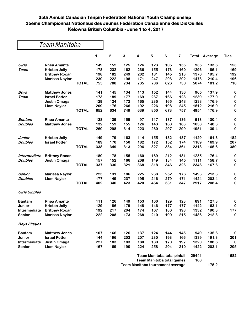|                      | Team Manitoba         |              |     |             |     |     |     |                             |     |              |         |             |
|----------------------|-----------------------|--------------|-----|-------------|-----|-----|-----|-----------------------------|-----|--------------|---------|-------------|
|                      |                       |              | 1   | $\mathbf 2$ | 3   | 4   | 5   | 6                           | 7   | <b>Total</b> | Average | <b>Ties</b> |
| Girls                | <b>Rhea Amante</b>    |              | 149 | 152         | 125 | 126 | 123 | 105                         | 155 | 935          | 133.6   | 153         |
| Team                 | <b>Kristen Jolly</b>  |              | 178 | 232         | 162 | 236 | 155 | 173                         | 160 | 1296         | 185.1   | 169         |
|                      | <b>Brittney Rocan</b> |              | 198 | 182         | 249 | 202 | 181 | 145                         | 213 | 1370         | 195.7   | 192         |
|                      | <b>Marissa Naylor</b> |              | 230 | 222         | 198 | 171 | 247 | 203                         | 202 | 1473         | 210.4   | 196         |
|                      |                       | <b>TOTAL</b> | 755 | 788         | 734 | 735 | 706 | 626                         | 730 | 5074         | 181.2   | 710         |
| <b>Boys</b>          | <b>Matthew Jones</b>  |              | 141 | 145         | 134 | 113 | 152 | 144                         | 136 | 965          | 137.9   | $\bf{0}$    |
| Team                 | <b>Israel Potter</b>  |              | 173 | 189         | 177 | 169 | 237 | 166                         | 128 | 1239         | 177.0   | $\bf{0}$    |
|                      | <b>Justin Omaga</b>   |              | 129 | 124         | 172 | 165 | 235 | 165                         | 248 | 1238         | 176.9   | $\bf{0}$    |
|                      | <b>Liam Naylor</b>    |              | 209 | 176         | 266 | 192 | 226 | 198                         | 245 | 1512         | 216.0   | $\bf{0}$    |
|                      |                       | <b>TOTAL</b> | 652 | 634         | 749 | 639 | 850 | 673                         | 757 | 4954         | 176.9   | $\bf{0}$    |
| <b>Bantam</b>        | <b>Rhea Amante</b>    |              | 128 | 139         | 159 | 97  | 117 | 137                         | 136 | 913          | 130.4   | $\bf{0}$    |
| <b>Doubles</b>       | <b>Matthew Jones</b>  |              | 132 | 159         | 155 | 126 | 143 | 160                         | 163 | 1038         | 148.3   | 0           |
|                      |                       | <b>TOTAL</b> | 260 | 298         | 314 | 223 | 260 | 297                         | 299 | 1951         | 139.4   | 0           |
| Junior               | <b>Kristen Jolly</b>  |              | 149 | 179         | 163 | 114 | 155 | 182                         | 187 | 1129         | 161.3   | 182         |
| <b>Doubles</b>       | <b>Israel Potter</b>  |              | 189 | 170         | 150 | 182 | 172 | 152                         | 174 | 1189         | 169.9   | 207         |
|                      |                       | <b>TOTAL</b> | 338 | 349         | 313 | 296 | 327 | 334                         | 361 | 2318         | 165.6   | 389         |
| Intermediate         | <b>Brittney Rocan</b> |              | 180 | 178         | 155 | 160 | 169 | 212                         | 181 | 1235         | 176.4   | 0           |
| <b>Doubles</b>       | <b>Justin Omaga</b>   |              | 157 | 152         | 166 | 208 | 149 | 134                         | 145 | 1111         | 158.7   | $\bf{0}$    |
|                      |                       | <b>TOTAL</b> | 337 | 330         | 321 | 368 | 318 | 346                         | 326 | 2346         | 167.6   | $\bf{0}$    |
| Senior               | <b>Marissa Naylor</b> |              | 225 | 191         | 186 | 225 | 238 | 252                         | 176 | 1493         | 213.3   | 0           |
| <b>Doubles</b>       | <b>Liam Naylor</b>    |              | 177 | 149         | 237 | 195 | 216 | 279                         | 171 | 1424         | 203.4   | 0           |
|                      |                       | <b>TOTAL</b> | 402 | 340         | 423 | 420 | 454 | 531                         | 347 | 2917         | 208.4   | 0           |
| <b>Girls Singles</b> |                       |              |     |             |     |     |     |                             |     |              |         |             |
| <b>Bantam</b>        | <b>Rhea Amante</b>    |              | 111 | 126         | 149 | 153 | 100 | 129                         | 123 | 891          | 127.3   | 0           |
| <b>Junior</b>        | <b>Kristen Jolly</b>  |              | 129 | 186         | 179 | 148 | 146 | 177                         | 177 | 1142         | 163.1   | 0           |
| Intermediate         | <b>Brittney Rocan</b> |              | 192 | 217         | 204 | 174 | 167 | 180                         | 198 | 1332         | 190.3   | 177         |
| <b>Senior</b>        | <b>Marissa Naylor</b> |              | 222 | 208         | 173 | 268 | 210 | 190                         | 215 | 1486         | 212.3   | 0           |
| <b>Boys Singles</b>  |                       |              |     |             |     |     |     |                             |     |              |         |             |
| <b>Bantam</b>        | <b>Matthew Jones</b>  |              | 107 | 166         | 126 | 137 | 124 | 144                         | 145 | 949          | 135.6   | $\bf{0}$    |
| Junior               | <b>Israel Potter</b>  |              | 144 | 196         | 203 | 207 | 230 | 193                         | 166 | 1339         | 191.3   | 201         |
| Intermediate         | Justin Omaga          |              | 227 | 183         | 183 | 180 | 180 | 170                         | 197 | 1320         | 188.6   | $\bf{0}$    |
| <b>Senior</b>        | <b>Liam Naylor</b>    |              | 167 | 169         | 190 | 224 | 258 | 204                         | 210 | 1422         | 203.1   | 205         |
|                      |                       |              |     |             |     |     |     | Team Manitoba total ninfall |     | 29441        |         | 1682        |

| <b>Team Manitoba total pinfall</b> | 29441 |       | 1682 |
|------------------------------------|-------|-------|------|
| Team Manitoba total games          | 168   |       |      |
| Team Manitoba tournament average   |       | 175.2 |      |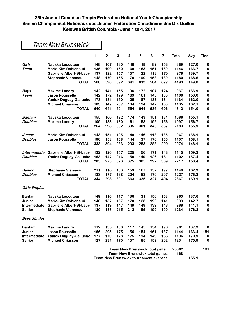### Team New Brunswick

|                      |                               | 1                                     | $\mathbf{2}$ | 3   | 4                                       | 5   | 6   | 7   | Total | Avg   | <b>Ties</b> |
|----------------------|-------------------------------|---------------------------------------|--------------|-----|-----------------------------------------|-----|-----|-----|-------|-------|-------------|
| Girls                | Natiska Lecouteur             | 148                                   | 107          | 130 | 146                                     | 118 | 82  | 158 | 889   | 127.0 | 0           |
| Team                 | <b>Marie-Kim Robichaud</b>    | 135                                   | 190          | 150 | 168                                     | 183 | 151 | 169 | 1146  | 163.7 | 0           |
|                      | Gabrielle Albert-St-Laur      | 137                                   | 122          | 157 | 157                                     | 122 | 113 | 170 | 978   | 139.7 | 0           |
|                      | <b>Stephanie Vienneau</b>     | 148                                   | 179          | 155 | 170                                     | 190 | 158 | 180 | 1180  | 168.6 | $\pmb{0}$   |
|                      | <b>TOTAL</b>                  | 568                                   | 598          | 592 | 641                                     | 613 | 504 | 677 | 4193  | 149.8 | 0           |
| <b>Boys</b>          | <b>Maxime Landry</b>          | 142                                   | 141          | 155 | 96                                      | 172 | 107 | 124 | 937   | 133.9 | 0           |
| Team                 | <b>Jason Rousselle</b>        | 142                                   | 172          | 179 | 169                                     | 161 | 145 | 138 | 1106  | 158.0 | 0           |
|                      | <b>Yanick Duguay-Gallucho</b> | 173                                   | 181          | 150 | 125                                     | 187 | 137 | 181 | 1134  | 162.0 | 0           |
|                      | <b>Michael Chiasson</b>       | 183                                   | 147          | 207 | 164                                     | 124 | 147 | 163 | 1135  | 162.1 | 0           |
|                      | <b>TOTAL</b>                  | 640                                   | 641          | 691 | 554                                     | 644 | 536 | 606 | 4312  | 154.0 | 0           |
| Bantam               | Natiska Lecouteur             | 155                                   | 160          | 122 | 174                                     | 143 | 151 | 181 | 1086  | 155.1 | 0           |
| <b>Doubles</b>       | <b>Maxime Landry</b>          | 109                                   | 138          | 180 | 161                                     | 158 | 195 | 156 | 1097  | 156.7 | 0           |
|                      | <b>TOTAL</b>                  | 264                                   | 298          | 302 | 335                                     | 301 | 346 | 337 | 2183  | 155.9 | 0           |
| Junior               | <b>Marie-Kim Robichaud</b>    | 143                                   | 151          | 125 | 149                                     | 146 | 118 | 135 | 967   | 138.1 | $\pmb{0}$   |
| <b>Doubles</b>       | <b>Jason Rousselle</b>        | 190                                   | 153          | 158 | 144                                     | 137 | 170 | 155 | 1107  | 158.1 | $\pmb{0}$   |
|                      | <b>TOTAL</b>                  | 333                                   | 304          | 283 | 293                                     | 283 | 288 | 290 | 2074  | 148.1 | 0           |
| Intermediate         | Gabrielle Albert-St-Laur      | 132                                   | 126          | 157 | 225                                     | 156 | 171 | 148 | 1115  | 159.3 | 0           |
| <b>Doubles</b>       | <b>Yanick Duguay-Gallucho</b> | 153                                   | 147          | 216 | 150                                     | 149 | 126 | 161 | 1102  | 157.4 | 0           |
|                      | <b>TOTAL</b>                  | 285                                   | 273          | 373 | 375                                     | 305 | 297 | 309 | 2217  | 158.4 | 0           |
| Senior               | <b>Stephanie Vienneau</b>     | 211                                   | 116          | 133 | 159                                     | 167 | 157 | 197 | 1140  | 162.9 | 0           |
| <b>Doubles</b>       | <b>Michael Chiasson</b>       | 133                                   | 177          | 168 | 204                                     | 168 | 170 | 207 | 1227  | 175.3 | 0           |
|                      | <b>TOTAL</b>                  | 344                                   | 293          | 301 | 363                                     | 335 | 327 | 404 | 2367  | 169.1 | 0           |
| <b>Girls Singles</b> |                               |                                       |              |     |                                         |     |     |     |       |       |             |
| <b>Bantam</b>        | Natiska Lecouteur             | 149                                   | 116          | 117 | 136                                     | 131 | 156 | 158 | 963   | 137.6 | 0           |
| Junior               | <b>Marie-Kim Robichaud</b>    | 146                                   | 137          | 157 | 170                                     | 128 | 120 | 141 | 999   | 142.7 | 0           |
| Intermediate         | Gabrielle Albert-St-Laur      | 137                                   | 119          | 147 | 149                                     | 149 | 139 | 148 | 988   | 141.1 | $\pmb{0}$   |
| Senior               | <b>Stephanie Vienneau</b>     | 130                                   | 133          | 215 | 212                                     | 155 | 199 | 190 | 1234  | 176.3 | $\bf{0}$    |
| <b>Boys Singles</b>  |                               |                                       |              |     |                                         |     |     |     |       |       |             |
| <b>Bantam</b>        | <b>Maxime Landry</b>          | 112                                   | 135          | 108 | 117                                     | 145 | 154 | 190 | 961   | 137.3 | 0           |
| Junior               | <b>Jason Rousselle</b>        | 156                                   | 205          | 175 | 156                                     | 154 | 161 | 137 | 1144  | 163.4 | 181         |
| Intermediate         | <b>Yanick Duguay-Gallucho</b> | 177                                   | 170          | 178 | 175                                     | 194 | 149 | 153 | 1196  | 170.9 | 0           |
| <b>Senior</b>        | <b>Michael Chiasson</b>       | 127                                   | 231          | 170 | 157                                     | 185 | 159 | 202 | 1231  | 175.9 | 0           |
|                      |                               |                                       |              |     | <b>Team New Brunswick total pinfall</b> |     |     |     | 26062 |       | 181         |
|                      |                               | <b>Team New Brunswick total games</b> |              |     |                                         |     |     |     | 168   |       |             |
|                      |                               | Team New Brunswick tournament average |              |     |                                         |     |     |     |       | 155.1 |             |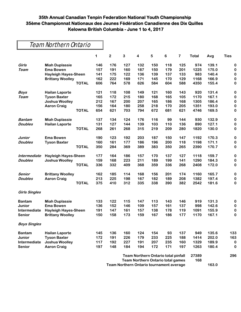| <b>Team Northern Ontario</b> |  |
|------------------------------|--|
|------------------------------|--|

|                      |                             | 1   | $\mathbf 2$ | 3   | 4                                          | 5   | 6   | 7   | <b>Total</b> | Avg   | <b>Ties</b> |
|----------------------|-----------------------------|-----|-------------|-----|--------------------------------------------|-----|-----|-----|--------------|-------|-------------|
| Girls                | <b>Miah Duplassie</b>       | 146 | 176         | 127 | 132                                        | 150 | 118 | 125 | 974          | 139.1 | $\bf{0}$    |
| Team                 | <b>Ema Bowen</b>            | 157 | 191         | 160 | 187                                        | 150 | 179 | 201 | 1225         | 175.0 | 0           |
|                      | <b>Hayleigh Hayes-Sheen</b> | 141 | 175         | 122 | 136                                        | 139 | 137 | 133 | 983          | 140.4 | $\bf{0}$    |
|                      | <b>Brittany Woolley</b>     | 162 | 222         | 169 | 171                                        | 145 | 170 | 129 | 1168         | 166.9 | $\bf{0}$    |
|                      | <b>TOTAL</b>                | 606 | 764         | 578 | 626                                        | 584 | 604 | 588 | 4350         | 155.4 | 0           |
| <b>Boys</b>          | <b>Hailan Laporte</b>       | 121 | 118         | 108 | 149                                        | 121 | 160 | 143 | 920          | 131.4 | $\bf{0}$    |
| Team                 | <b>Tyson Baxter</b>         | 165 | 172         | 215 | 180                                        | 168 | 165 | 105 | 1170         | 167.1 | 0           |
|                      | <b>Joshua Woolley</b>       | 212 | 167         | 200 | 207                                        | 165 | 186 | 168 | 1305         | 186.4 | $\bf{0}$    |
|                      | <b>Aaron Craig</b>          | 156 | 164         | 180 | 258                                        | 218 | 170 | 205 | 1351         | 193.0 | $\bf{0}$    |
|                      | <b>TOTAL</b>                | 654 | 621         | 703 | 794                                        | 672 | 681 | 621 | 4746         | 169.5 | 0           |
| <b>Bantam</b>        | <b>Miah Duplassie</b>       | 137 | 134         | 124 | 176                                        | 116 | 99  | 144 | 930          | 132.9 | $\bf{0}$    |
| <b>Doubles</b>       | <b>Hailan Laporte</b>       | 131 | 127         | 144 | 139                                        | 103 | 110 | 136 | 890          | 127.1 | 0           |
|                      | <b>TOTAL</b>                | 268 | 261         | 268 | 315                                        | 219 | 209 | 280 | 1820         | 130.0 | 0           |
| Junior               | <b>Ema Bowen</b>            | 190 | 123         | 192 | 203                                        | 187 | 150 | 147 | 1192         | 170.3 | 0           |
| <b>Doubles</b>       | <b>Tyson Baxter</b>         | 160 | 161         | 177 | 186                                        | 196 | 200 | 118 | 1198         | 171.1 | 0           |
|                      | <b>TOTAL</b>                | 350 | 284         | 369 | 389                                        | 383 | 350 | 265 | 2390         | 170.7 | 0           |
| Intermediate         | <b>Hayleigh Hayes-Sheen</b> | 177 | 164         | 186 | 157                                        | 170 | 137 | 127 | 1118         | 159.7 | 0           |
| <b>Doubles</b>       | <b>Joshua Woolley</b>       | 159 | 168         | 223 | 211                                        | 189 | 199 | 141 | 1290         | 184.3 | 0           |
|                      | <b>TOTAL</b>                | 336 | 332         | 409 | 368                                        | 359 | 336 | 268 | 2408         | 172.0 | 0           |
| Senior               | <b>Brittany Woolley</b>     | 162 | 185         | 114 | 168                                        | 156 | 201 | 174 | 1160         | 165.7 | $\bf{0}$    |
| <b>Doubles</b>       | <b>Aaron Craig</b>          | 213 | 225         | 198 | 167                                        | 182 | 189 | 208 | 1382         | 197.4 | 0           |
|                      | <b>TOTAL</b>                | 375 | 410         | 312 | 335                                        | 338 | 390 | 382 | 2542         | 181.6 | 0           |
| <b>Girls Singles</b> |                             |     |             |     |                                            |     |     |     |              |       |             |
| <b>Bantam</b>        | <b>Miah Duplassie</b>       | 133 | 122         | 115 | 147                                        | 113 | 143 | 146 | 919          | 131.3 | 0           |
| Junior               | <b>Ema Bowen</b>            | 136 | 152         | 146 | 109                                        | 157 | 161 | 137 | 998          | 142.6 | 0           |
| Intermediate         | <b>Hayleigh Hayes-Sheen</b> | 191 | 147         | 161 | 157                                        | 138 | 178 | 119 | 1091         | 155.9 | 0           |
| <b>Senior</b>        | <b>Brittany Woolley</b>     | 150 | 158         | 173 | 159                                        | 167 | 186 | 177 | 1170         | 167.1 | 0           |
| <b>Boys Singles</b>  |                             |     |             |     |                                            |     |     |     |              |       |             |
| <b>Bantam</b>        | <b>Hailan Laporte</b>       | 145 | 136         | 160 | 124                                        | 154 | 93  | 137 | 949          | 135.6 | 133         |
| Junior               | <b>Tyson Baxter</b>         | 172 | 191         | 226 | 179                                        | 233 | 225 | 188 | 1414         | 202.0 | 163         |
| Intermediate         | <b>Joshua Woolley</b>       | 117 | 192         | 227 | 191                                        | 207 | 235 | 160 | 1329         | 189.9 | 0           |
| <b>Senior</b>        | <b>Aaron Craig</b>          | 197 | 148         | 184 | 194                                        | 172 | 171 | 197 | 1263         | 180.4 | 0           |
|                      |                             |     |             |     | <b>Team Northern Ontario total pinfall</b> |     |     |     | 27389        |       | 296         |

**Team Northern Ontario total games 168**

**Team Northern Ontario tournament average 163.0**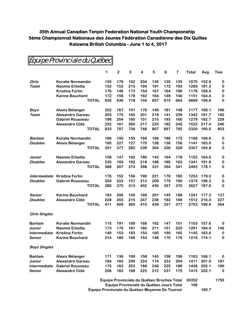|                      | Equipe Provinciale du Québec |                                            |                |     |                         |     |                 |                         |       |       |             |
|----------------------|------------------------------|--------------------------------------------|----------------|-----|-------------------------|-----|-----------------|-------------------------|-------|-------|-------------|
|                      |                              | 1                                          | $\overline{2}$ | 3   | $\overline{\mathbf{4}}$ | 5   | $6\phantom{1}6$ | $\overline{\mathbf{r}}$ | Total | Avg   | <b>Ties</b> |
| Girls                | <b>Koralie Normandin</b>     | 135                                        | 179            | 152 | 204                     | 135 | 130             | 135                     | 1070  | 152.9 | 0           |
| Team                 | <b>Naomie Erbetta</b>        | 152                                        | 152            | 215 | 194                     | 191 | 172             | 193                     | 1269  | 181.3 | 0           |
|                      | <b>Kristina Fortin</b>       | 176                                        | 149            | 173 | 154                     | 167 | 164             | 196                     | 1179  | 168.4 | 0           |
|                      | <b>Karine Bouchard</b>       | 172                                        | 156            | 178 | 192                     | 164 | 149             | 140                     | 1151  | 164.4 | 0           |
|                      | <b>TOTAL</b>                 | 635                                        | 636            | 718 | 744                     | 657 | 615             | 664                     | 4669  | 166.8 | 0           |
| <b>Boys</b>          | Alexis Bélanger              | 202                                        | 167            | 151 | 179                     | 149 | 181             | 148                     | 1177  | 168.1 | 196         |
| Team                 | <b>Alexandre Gareau</b>      | 203                                        | 175            | 165 | 201                     | 218 | 141             | 239                     | 1342  | 191.7 | 182         |
|                      | <b>Gabriel Rousseau</b>      | 196                                        | 204            | 160 | 151                     | 215 | 193             | 160                     | 1279  | 182.7 | 229         |
|                      | Alexandre Côté               | 232                                        | 161            | 260 | 217                     | 225 | 182             | 245                     | 1522  | 217.4 | 246         |
|                      | <b>TOTAL</b>                 | 833                                        | 707            | 736 | 748                     | 807 | 697             | 792                     | 5320  | 190.0 | 853         |
| <b>Bantam</b>        | <b>Koralie Normandin</b>     | 166                                        | 150            | 155 | 169                     | 166 | 188             | 172                     | 1166  | 166.6 | 0           |
| <b>Doubles</b>       | Alexis Bélanger              | 185                                        | 227            | 127 | 170                     | 138 | 138             | 156                     | 1141  | 163.0 | 0           |
|                      | <b>TOTAL</b>                 | 351                                        | 377            | 282 | 339                     | 304 | 326             | 328                     | 2307  | 164.8 | 0           |
| Junior               | <b>Naomie Erbetta</b>        | 158                                        | 147            | 182 | 180                     | 143 | 164             | 178                     | 1152  | 164.6 | 0           |
| <b>Doubles</b>       | <b>Alexandre Gareau</b>      | 230                                        | 160            | 192 | 218                     | 188 | 190             | 163                     | 1341  | 191.6 | 0           |
|                      | <b>TOTAL</b>                 | 388                                        | 307            | 374 | 398                     | 331 | 354             | 341                     | 2493  | 178.1 | 0           |
| Intermediate         | <b>Kristina Fortin</b>       | 176                                        | 152            | 156 | 190                     | 221 | 178             | 180                     | 1253  | 179.0 | 0           |
| <b>Doubles</b>       | <b>Gabriel Rousseau</b>      | 204                                        | 223            | 157 | 212                     | 209 | 179             | 190                     | 1374  | 196.3 | 0           |
|                      | <b>TOTAL</b>                 | 380                                        | 375            | 313 | 402                     | 430 | 357             | 370                     | 2627  | 187.6 | 0           |
| Senior               | <b>Karine Bouchard</b>       | 183                                        | 206            | 150 | 168                     | 201 | 145             | 188                     | 1241  | 177.3 | 137         |
| <b>Doubles</b>       | <b>Alexandre Côté</b>        | 228                                        | 203            | 215 | 247                     | 238 | 192             | 189                     | 1512  | 216.0 | 227         |
|                      | <b>TOTAL</b>                 | 411                                        | 409            | 365 | 415                     | 439 | 337             | 377                     | 2753  | 196.6 | 364         |
| <b>Girls Singles</b> |                              |                                            |                |     |                         |     |                 |                         |       |       |             |
| <b>Bantam</b>        | <b>Koralie Normandin</b>     | 115                                        | 191            | 169 | 168                     | 162 | 147             | 151                     | 1103  | 157.6 | 0           |
| Junior               | <b>Naomie Erbetta</b>        | 173                                        | 170            | 181 | 180                     | 211 | 151             | 225                     | 1291  | 184.4 | 146         |
| Intermediate         | Kristina Fortin              | 140                                        | 153            | 183 | 154                     | 160 | 190             | 165                     | 1145  | 163.6 | $\bf{0}$    |
| <b>Senior</b>        | <b>Karine Bouchard</b>       | 214                                        | 189            | 168 | 154                     | 148 | 170             | 176                     | 1219  | 174.1 | 0           |
| <b>Boys Singles</b>  |                              |                                            |                |     |                         |     |                 |                         |       |       |             |
| <b>Bantam</b>        | Alexis Bélanger              | 171                                        | 136            | 199 | 158                     | 145 | 158             | 196                     | 1163  | 166.1 | 0           |
| Junior               | <b>Alexandre Gareau</b>      | 184                                        | 183            | 209 | 224                     | 174 | 233             | 204                     | 1411  | 201.6 | 197         |
| Intermediate         | <b>Gabriel Rousseau</b>      | 175                                        | 163            | 253 | 188                     | 246 | 225             | 186                     | 1436  | 205.1 | 190         |
| <b>Senior</b>        | <b>Alexandre Côté</b>        | 206                                        | 162            | 198 | 225                     | 212 | 237             | 175                     | 1415  | 202.1 | 0           |
|                      |                              | Équipe Provinciale du Québec Broches Total |                |     |                         |     |                 |                         | 30352 |       | 1750        |

**Équipe Provinciale du Québec Jours Total 168**

**Équipe Provinciale du Québec Moyenne De Tournoi 180.7**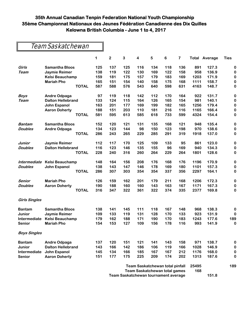### Team Saskatchewan

|                      |                          | 1   | $\mathbf 2$                            | 3   | 4   | 5   | 6   | 7   |       | <b>Total Average</b> | <b>Ties</b> |
|----------------------|--------------------------|-----|----------------------------------------|-----|-----|-----|-----|-----|-------|----------------------|-------------|
| Girls                | <b>Samantha Bloos</b>    | 125 | 137                                    | 125 | 116 | 134 | 118 | 136 | 891   | 127.3                | 0           |
| Team                 | <b>Jaymie Reimer</b>     | 138 | 119                                    | 122 | 130 | 169 | 122 | 158 | 958   | 136.9                | 0           |
|                      | <b>Kelsi Beauchamp</b>   | 159 | 181                                    | 175 | 157 | 179 | 183 | 169 | 1203  | 171.9                | 0           |
|                      | <b>Mariah Pho</b>        | 165 | 151                                    | 154 | 140 | 158 | 175 | 168 | 1111  | 158.7                | 0           |
|                      | <b>TOTAL</b>             | 587 | 588                                    | 576 | 543 | 640 | 598 | 631 | 4163  | 148.7                | 0           |
| <b>Boys</b>          | <b>Andre Odpaga</b>      | 97  | 119                                    | 118 | 142 | 112 | 170 | 164 | 922   | 131.7                | 0           |
| Team                 | <b>Dalton Hellebrand</b> | 133 | 124                                    | 115 | 164 | 126 | 165 | 154 | 981   | 140.1                | 0           |
|                      | John Espanol             | 163 | 201                                    | 177 | 169 | 199 | 182 | 165 | 1256  | 179.4                | 0           |
|                      | <b>Aaron Doherty</b>     | 188 | 151                                    | 203 | 110 | 181 | 216 | 116 | 1165  | 166.4                | 0           |
|                      | <b>TOTAL</b>             | 581 | 595                                    | 613 | 585 | 618 | 733 | 599 | 4324  | 154.4                | 0           |
| <b>Bantam</b>        | <b>Samantha Bloos</b>    | 152 | 120                                    | 121 | 131 | 135 | 168 | 121 | 948   | 135.4                | 0           |
| <b>Doubles</b>       | <b>Andre Odpaga</b>      | 134 | 123                                    | 144 | 98  | 150 | 123 | 198 | 970   | 138.6                | 0           |
|                      | <b>TOTAL</b>             | 286 | 243                                    | 265 | 229 | 285 | 291 | 319 | 1918  | 137.0                | 0           |
| Junior               | Jaymie Reimer            | 112 | 117                                    | 170 | 125 | 109 | 133 | 95  | 861   | 123.0                | 0           |
| <b>Doubles</b>       | <b>Dalton Hellebrand</b> | 116 | 123                                    | 146 | 135 | 155 | 96  | 169 | 940   | 134.3                | 0           |
|                      | <b>TOTAL</b>             | 228 | 240                                    | 316 | 260 | 264 | 229 | 264 | 1801  | 128.6                | 0           |
| Intermediate         | <b>Kelsi Beauchamp</b>   | 148 | 164                                    | 156 | 208 | 176 | 168 | 176 | 1196  | 170.9                | 0           |
| <b>Doubles</b>       | John Espanol             | 138 | 143                                    | 147 | 146 | 178 | 169 | 180 | 1101  | 157.3                | 0           |
|                      | <b>TOTAL</b>             | 286 | 307                                    | 303 | 354 | 354 | 337 | 356 | 2297  | 164.1                | 0           |
| Senior               | <b>Mariah Pho</b>        | 126 | 159                                    | 162 | 201 | 179 | 211 | 168 | 1206  | 172.3                | 0           |
| <b>Doubles</b>       | <b>Aaron Doherty</b>     | 190 | 188                                    | 160 | 160 | 143 | 163 | 167 | 1171  | 167.3                | 0           |
|                      | <b>TOTAL</b>             | 316 | 347                                    | 322 | 361 | 322 | 374 | 335 | 2377  | 169.8                | 0           |
| <b>Girls Singles</b> |                          |     |                                        |     |     |     |     |     |       |                      |             |
| <b>Bantam</b>        | <b>Samantha Bloos</b>    | 138 | 141                                    | 145 | 111 | 118 | 167 | 148 | 968   | 138.3                | 0           |
| Junior               | <b>Jaymie Reimer</b>     | 109 | 133                                    | 119 | 131 | 128 | 170 | 133 | 923   | 131.9                | $\bf{0}$    |
| Intermediate         | <b>Kelsi Beauchamp</b>   | 179 | 162                                    | 188 | 171 | 190 | 170 | 183 | 1243  | 177.6                | 189         |
| <b>Senior</b>        | <b>Mariah Pho</b>        | 154 | 153                                    | 127 | 109 | 156 | 178 | 116 | 993   | 141.9                | 0           |
| <b>Boys Singles</b>  |                          |     |                                        |     |     |     |     |     |       |                      |             |
| <b>Bantam</b>        | <b>Andre Odpaga</b>      | 137 | 120                                    | 151 | 121 | 141 | 143 | 158 | 971   | 138.7                | 0           |
| Junior               | <b>Dalton Hellebrand</b> | 143 | 166                                    | 142 | 186 | 106 | 119 | 166 | 1028  | 146.9                | 0           |
| Intermediate         | John Espanol             | 145 | 134                                    | 166 | 185 | 167 | 167 | 212 | 1176  | 168.0                | 0           |
| <b>Senior</b>        | <b>Aaron Doherty</b>     | 151 | 177                                    | 175 | 225 | 209 | 174 | 202 | 1313  | 187.6                | 0           |
|                      |                          |     | <b>Team Saskatchewan total pinfall</b> |     |     |     |     |     | 25495 |                      | 189         |
|                      |                          |     | <b>Team Saskatchewan total games</b>   |     |     |     |     |     | 168   |                      |             |
|                      |                          |     | Team Saskatchewan tournament average   |     |     |     |     |     |       | 151.8                |             |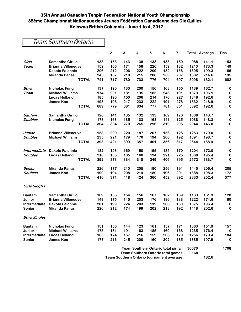|                      | Team Southern Ontario     |                                          |                                            |     |     |     |     |     |       |                      |             |
|----------------------|---------------------------|------------------------------------------|--------------------------------------------|-----|-----|-----|-----|-----|-------|----------------------|-------------|
|                      |                           | 1                                        | $\mathbf{2}$                               | 3   | 4   | 5   | 6   | 7   |       | <b>Total Average</b> | <b>Ties</b> |
| Girls                | <b>Samantha Cirillo</b>   | 138                                      | 153                                        | 143 | 138 | 133 | 133 | 150 | 988   | 141.1                | 153         |
| Team                 | <b>Brianna Villeneuve</b> | 152                                      | 165                                        | 171 | 158 | 226 | 159 | 182 | 1213  | 173.3                | 149         |
|                      | <b>Dakota Faichnie</b>    | 206                                      | 212                                        | 206 | 222 | 209 | 182 | 158 | 1395  | 199.3                | 185         |
|                      | <b>Miranda Panas</b>      | 245                                      | 187                                        | 210 | 215 | 208 | 230 | 207 | 1502  | 214.6                | 195         |
|                      | <b>TOTAL</b>              | 741                                      | 717                                        | 730 | 733 | 776 | 704 | 697 | 5098  | 182.1                | 682         |
| <b>Boys</b>          | <b>Nicholas Fung</b>      | 137                                      | 190                                        | 133 | 200 | 156 | 168 | 155 | 1139  | 162.7                | 0           |
| Team                 | <b>Michael Williams</b>   | 174                                      | 201                                        | 181 | 195 | 185 | 246 | 191 | 1373  | 196.1                | 0           |
|                      | <b>Lucas Holland</b>      | 185                                      | 190                                        | 150 | 206 | 214 | 176 | 227 | 1348  | 192.6                | 0           |
|                      | <b>James Koo</b>          | 193                                      | 198                                        | 217 | 233 | 222 | 191 | 278 | 1532  | 218.9                | 0           |
|                      | <b>TOTAL</b>              | 689                                      | 779                                        | 681 | 834 | 777 | 781 | 851 | 5392  | 192.6                | 0           |
| <b>Bantam</b>        | <b>Samantha Cirillo</b>   | 126                                      | 141                                        | 135 | 132 | 133 | 169 | 170 | 1006  | 143.7                | 0           |
| <b>Doubles</b>       | <b>Nicholas Fung</b>      | 178                                      | 163                                        | 135 | 133 | 163 | 141 | 125 | 1038  | 148.3                | 0           |
|                      | <b>TOTAL</b>              | 304                                      | 304                                        | 270 | 265 | 296 | 310 | 295 | 2044  | 146.0                | 0           |
| Junior               | <b>Brianna Villeneuve</b> | 158                                      | 200                                        | 220 | 187 | 207 | 156 | 125 | 1253  | 179.0                | 0           |
| <b>Doubles</b>       | <b>Michael Williams</b>   | 235                                      | 221                                        | 179 | 170 | 194 | 200 | 192 | 1391  | 198.7                | 0           |
|                      | <b>TOTAL</b>              | 393                                      | 421                                        | 399 | 357 | 401 | 356 | 317 | 2644  | 188.9                | 0           |
| Intermediate         | <b>Dakota Faichnie</b>    | 182                                      | 193                                        | 169 | 150 | 155 | 185 | 170 | 1204  | 172.0                | 0           |
| <b>Doubles</b>       | <b>Lucas Holland</b>      | 210                                      | 185                                        | 165 | 168 | 194 | 221 | 225 | 1368  | 195.4                | 0           |
|                      | <b>TOTAL</b>              | 392                                      | 378                                        | 334 | 318 | 349 | 406 | 395 | 2572  | 183.7                | 0           |
| Senior               | <b>Miranda Panas</b>      | 226                                      | 177                                        | 210 | 205 | 180 | 256 | 191 | 1445  | 206.4                | 205         |
| <b>Doubles</b>       | <b>James Koo</b>          | 190                                      | 194                                        | 208 | 219 | 180 | 196 | 201 | 1388  | 198.3                | 172         |
|                      | <b>TOTAL</b>              | 416                                      | 371                                        | 418 | 424 | 360 | 452 | 392 | 2833  | 202.4                | 377         |
| <b>Girls Singles</b> |                           |                                          |                                            |     |     |     |     |     |       |                      |             |
| <b>Bantam</b>        | <b>Samantha Cirillo</b>   | 169                                      | 136                                        | 154 | 156 | 167 | 162 | 189 | 1133  | 161.9                | 128         |
| Junior               | <b>Brianna Villeneuve</b> | 149                                      | 175                                        | 145 | 203 | 176 | 186 | 188 | 1222  | 174.6                | 180         |
| Intermediate         | <b>Dakota Faichnie</b>    | 201                                      | 199                                        | 224 | 203 | 192 | 206 | 150 | 1375  | 196.4                | 0           |
| <b>Senior</b>        | <b>Miranda Panas</b>      | 226                                      | 212                                        | 174 | 199 | 202 | 213 | 192 | 1418  | 202.6                | 0           |
| <b>Boys Singles</b>  |                           |                                          |                                            |     |     |     |     |     |       |                      |             |
| <b>Bantam</b>        | <b>Nicholas Fung</b>      | 151                                      | 156                                        | 144 | 123 | 161 | 157 | 171 | 1063  | 151.9                | 157         |
| Junior               | <b>Michael Williams</b>   | 178                                      | 181                                        | 191 | 163 | 185 | 169 | 168 | 1235  | 176.4                | $\bf{0}$    |
| Intermediate         | <b>Lucas Holland</b>      | 165                                      | 174                                        | 157 | 216 | 159 | 206 | 179 | 1256  | 179.4                | 184         |
| <b>Senior</b>        | James Koo                 | 177                                      | 216                                        | 245 | 200 | 160 | 202 | 185 | 1385  | 197.9                | 0           |
|                      |                           |                                          | <b>Team Southern Ontario total pinfall</b> |     |     |     |     |     | 30670 |                      | 1708        |
|                      |                           | <b>Team Southern Ontario total games</b> |                                            |     |     |     |     | 168 |       |                      |             |

**Team Southern Ontario tournament average 182.6**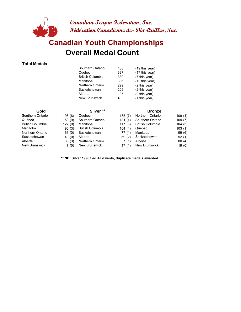

## **Overall Medal Count Canadian Youth Championships**

#### **Total Medals**

| Southern Ontario        | 438 | $(19$ this year) |
|-------------------------|-----|------------------|
| Québec                  | 397 | (17 this year)   |
| <b>British Columbia</b> | 330 | (7 this year)    |
| Manitoba                | 306 | (12 this year)   |
| Northern Ontario        | 229 | (2 this year)    |
| Saskatchewan            | 209 | (2 this year)    |
| Alberta                 | 187 | (9 this year)    |
| <b>New Brunswick</b>    | 43  | (1 this year)    |
|                         |     |                  |

| Gold             |        | Silver <sup>**</sup>    |        | <b>Bronze</b>           |        |
|------------------|--------|-------------------------|--------|-------------------------|--------|
| Southern Ontario | 198(8) | Québec                  | 135(7) | Northern Ontario        | 109(1) |
| Québec           | 159(9) | Southern Ontario        | 131(4) | Southern Ontario        | 109(7) |
| British Columbia | 122(0) | Manitoba                | 117(3) | <b>British Columbia</b> | 104(3) |
| Manitoba         | 90(3)  | <b>British Columbia</b> | 104(4) | Québec                  | 103(1) |
| Northern Ontario | 63(0)  | Saskatchewan            | 77(1)  | Manitoba                | 99(6)  |
| Saskatchewan     | 40(0)  | Alberta                 | 69(2)  | Saskatchewan            | 92(1)  |
| Alberta          | 38(3)  | Northern Ontario        | 57(1)  | Alberta                 | 80(4)  |
| New Brunswick    | 7(0)   | New Brunswick           | 17(1)  | <b>New Brunswick</b>    | 19(0)  |

**\*\* NB: Silver 1996 tied All-Events, duplicate medals awarded**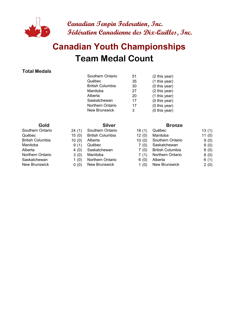

# **Team Medal Count Canadian Youth Championships**

#### **Total Medals**

| Southern Ontario        | 51 | (2 this year) |
|-------------------------|----|---------------|
| Québec                  | 35 | (1 this year) |
| <b>British Columbia</b> | 30 | (0 this year) |
| Manitoba                | 27 | (2 this year) |
| Alberta                 | 20 | (1 this year) |
| Saskatchewan            | 17 | (0 this year) |
| <b>Northern Ontario</b> | 17 | (0 this year) |
| <b>New Brunswick</b>    | з  | (0 this year) |
|                         |    |               |

- 
- 
- 
- 
- Alberta 4 (0) Saskatchewan
	-
- Saskatchewan 1 (0) Northern Ontario
	-

#### **Gold Silver Silver Bronze**

| Southern Ontario | 24(1) | Southern Ontario        | 18(1) | Québec                  | 13(1)    |
|------------------|-------|-------------------------|-------|-------------------------|----------|
| Québec           | 15(0) | <b>British Columbia</b> | 12(0) | Manitoba                | 11 $(0)$ |
| British Columbia | 10(0) | Alberta                 | 10(0) | Southern Ontario        | 9(0)     |
| Manitoba         | 9(1)  | Québec                  | 7 (0) | Saskatchewan            | 9(0)     |
| Alberta          | 4(0)  | Saskatchewan            | 7 (0) | <b>British Columbia</b> | 8(0)     |
| Northern Ontario | 3(0)  | Manitoba                | 7(1)  | Northern Ontario        | 8(0)     |
| Saskatchewan     | 1(0)  | Northern Ontario        | 6(0)  | Alberta                 | 6(1)     |
| New Brunswick    | 0(0)  | New Brunswick           | 1(0)  | New Brunswick           | 2(0)     |
|                  |       |                         |       |                         |          |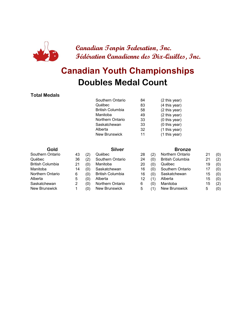

# **Doubles Medal Count Canadian Youth Championships**

#### **Total Medals**

| Southern Ontario        | 84 | (2 this year) |
|-------------------------|----|---------------|
| Québec                  | 83 | (4 this year) |
| <b>British Columbia</b> | 58 | (2 this year) |
| Manitoba                | 49 | (2 this year) |
| Northern Ontario        | 33 | (0 this year) |
| Saskatchewan            | 33 | (0 this year) |
| Alberta                 | 32 | (1 this year) |
| <b>New Brunswick</b>    | 11 | (1 this year) |
|                         |    |               |

| Gold                    |    |                   | <b>Silver</b>           |    |     | <b>Bronze</b>           |    |     |  |  |
|-------------------------|----|-------------------|-------------------------|----|-----|-------------------------|----|-----|--|--|
| Southern Ontario        | 43 | $\left( 2\right)$ | Québec                  | 28 | (2) | Northern Ontario        | 21 | (0) |  |  |
| Québec                  | 36 | (2)               | Southern Ontario        | 24 | (0) | <b>British Columbia</b> | 21 | (2) |  |  |
| <b>British Columbia</b> | 21 | (0)               | Manitoba                | 20 | (0) | Québec                  | 19 | (0) |  |  |
| Manitoba                | 14 | (0)               | Saskatchewan            | 16 | (0) | Southern Ontario        | 17 | (0) |  |  |
| Northern Ontario        | 6  | (0)               | <b>British Columbia</b> | 16 | (0) | Saskatchewan            | 15 | (0) |  |  |
| Alberta                 | 5  | (0)               | Alberta                 | 12 | (1) | Alberta                 | 15 | (0) |  |  |
| Saskatchewan            | 2  | (0)               | Northern Ontario        | 6  | (0) | Manitoba                | 15 | (2) |  |  |
| <b>New Brunswick</b>    |    | (0)               | <b>New Brunswick</b>    | 5  |     | <b>New Brunswick</b>    | 5  | (0) |  |  |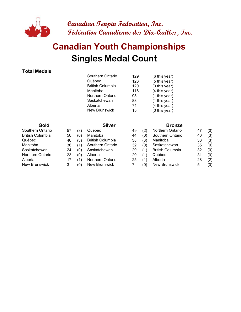

# **Singles Medal Count Canadian Youth Championships**

#### **Total Medals**

| Gold | <b>Silver</b>           |     | <b>Bronze</b> |
|------|-------------------------|-----|---------------|
|      | <b>New Brunswick</b>    | 15  | (0 this year) |
|      | Alberta                 | 74  | (4 this year) |
|      | Saskatchewan            | 88  | (1 this year) |
|      | Northern Ontario        | 95  | (1 this year) |
|      | Manitoba                | 116 | (4 this year) |
|      | <b>British Columbia</b> | 120 | (3 this year) |
|      | Québec                  | 126 | (5 this year) |
|      | Southern Ontario        | 129 | (6 this year) |
|      |                         |     |               |

| ww                   |
|----------------------|
| Southern Ontario     |
| British Columbia     |
| Québec               |
| Manitoba             |
| Saskatchewan         |
| Northern Ontario     |
| Alberta              |
| <b>New Brunswick</b> |
|                      |

| (3) | Québec                  |
|-----|-------------------------|
| (0) | Manitoba                |
| (3) | <b>British Columbia</b> |
| (1) | Southern Ontario        |
| (0) | Saskatchewan            |
| (0) | Alberta                 |
| (1) | Northern Ontario        |
| (0) | <b>New Brunswick</b>    |

| Southern Ontario | 57 | (3) | Québec                  | 49 |     | Northern Ontario        | 47 | (0) |
|------------------|----|-----|-------------------------|----|-----|-------------------------|----|-----|
| British Columbia | 50 | (0) | Manitoba                | 44 | (0) | Southern Ontario        | 40 | (3) |
| Québec           | 46 | (3) | <b>British Columbia</b> | 38 | (3) | Manitoba                | 36 | (3) |
| Manitoba         | 36 | (1) | Southern Ontario        | 32 | (0) | Saskatchewan            | 35 | (0) |
| Saskatchewan     | 24 | (0) | Saskatchewan            | 29 | (1) | <b>British Columbia</b> | 32 | (0) |
| Northern Ontario | 23 | (0) | Alberta                 | 29 | (1) | Québec                  | 31 | (0) |
| Alberta          | 17 | (1  | Northern Ontario        | 25 |     | Alberta                 | 28 | (2) |
| New Brunswick    |    | (0) | New Brunswick           |    | (0) | <b>New Brunswick</b>    | 5  | (0) |
|                  |    |     |                         |    |     |                         |    |     |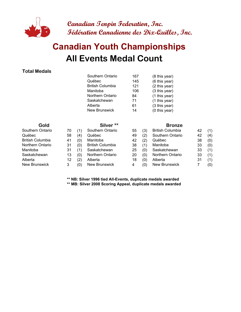

# **All Events Medal Count Canadian Youth Championships**

#### **Total Medals**

|                         |    |     | Southern Ontario        | 167 |     | (8 this year)           |    |     |
|-------------------------|----|-----|-------------------------|-----|-----|-------------------------|----|-----|
|                         |    |     | Québec                  | 145 |     | (6 this year)           |    |     |
|                         |    |     | <b>British Columbia</b> | 121 |     | (2 this year)           |    |     |
|                         |    |     | Manitoba                | 106 |     | (3 this year)           |    |     |
|                         |    |     | Northern Ontario        | 84  |     | (1 this year)           |    |     |
|                         |    |     | Saskatchewan            | 71  |     | (1 this year)           |    |     |
|                         |    |     | Alberta                 | 61  |     | (3 this year)           |    |     |
|                         |    |     | <b>New Brunswick</b>    | 14  |     | (0 this year)           |    |     |
| Gold                    |    |     | Silver <sup>**</sup>    |     |     | <b>Bronze</b>           |    |     |
| Southern Ontario        | 70 | (1) | Southern Ontario        | 55  | (3) | <b>British Columbia</b> | 42 | (1) |
| Québec                  | 58 | (4) | Québec                  | 49  | (2) | Southern Ontario        | 42 | (4) |
| <b>British Columbia</b> | 41 | (0) | Manitoba                | 42  | (2) | Québec                  | 38 | (0) |
| Northern Ontario        | 31 | (0) | <b>British Columbia</b> | 38  | (1) | Manitoba                | 33 | (0) |
| Manitoba                | 31 | (1) | Saskatchewan            | 25  | (0) | Saskatchewan            | 33 | (1) |
| Saskatchewan            | 13 | (0) | Northern Ontario        | 20  | (0) | Northern Ontario        | 33 | (1) |
| Alberta                 | 12 | (2) | Alberta                 | 18  | (0) | Alberta                 | 31 | (1) |
| New Brunswick           | 3  | (0) | New Brunswick           | 4   | (0) | New Brunswick           | 7  | (0) |

**\*\* NB: Silver 1996 tied All-Events, duplicate medals awarded**

**\*\* MB: Silver 2008 Scoring Appeal, duplicate medals awarded**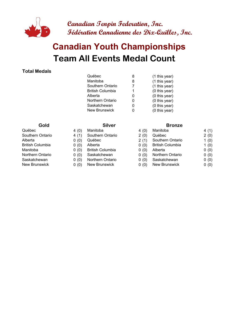

# **Team All Events Medal Count Canadian Youth Championships**

#### **Total Medals**

| Québec                  | 8 | (1 this year) |
|-------------------------|---|---------------|
| Manitoba                | 8 | (1 this year) |
| Southern Ontario        | 7 | (1 this year) |
| <b>British Columbia</b> | 1 | (0 this year) |
| Alberta                 | 0 | (0 this year) |
| Northern Ontario        |   | (0 this year) |
| Saskatchewan            | 0 | (0 this year) |
| New Brunswick           |   | (0 this year) |
|                         |   |               |

- 
- Southern Ontario 4 (1) Southern Ontario
	-
	-
- Manitoba 0 (0) British Columbia
	-
- Saskatchewan 0 (0) Northern Ontario
- New Brunswick 0 (0) New Brunswick

#### **Gold Silver Silver Bronze**

| Québec           | 4(0) | Manitoba                | 4(0) | Manitoba                | 4(1) |
|------------------|------|-------------------------|------|-------------------------|------|
| Southern Ontario | 4(1) | Southern Ontario        | 2(0) | Québec                  | 2(0) |
| Alberta          | 0(0) | Québec                  | 2(1) | Southern Ontario        | 1(0) |
| British Columbia | 0(0) | Alberta                 | 0(0) | <b>British Columbia</b> | 1(0) |
| Manitoba         | 0(0) | <b>British Columbia</b> | 0(0) | Alberta                 | 0(0) |
| Northern Ontario | 0(0) | Saskatchewan            | 0(0) | Northern Ontario        | 0(0) |
| Saskatchewan     | 0(0) | Northern Ontario        | 0(0) | Saskatchewan            | 0(0) |
| New Brunswick    | 0(0) | New Brunswick           | 0(0) | New Brunswick           | 0(0) |
|                  |      |                         |      |                         |      |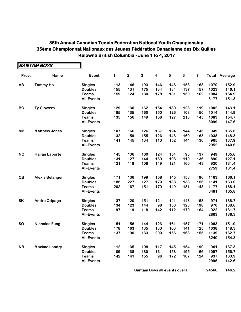|           | <b>BANTAM BOYS</b>     |                   |     |                |              |                         |           |         |                         |      |                      |
|-----------|------------------------|-------------------|-----|----------------|--------------|-------------------------|-----------|---------|-------------------------|------|----------------------|
| Prov.     | <b>Name</b>            | Event             | 1   | $\overline{2}$ | $\mathbf{3}$ | $\overline{\mathbf{4}}$ | ${\bf 5}$ | $\bf 6$ | $\overline{\mathbf{7}}$ |      | <b>Total Average</b> |
| <b>AB</b> | <b>Tommy Ho</b>        | <b>Singles</b>    | 113 | 146            | 193          | 146                     | 146       | 158     | 168                     | 1070 | 152.9                |
|           |                        | <b>Doubles</b>    | 155 | 131            | 175          | 134                     | 134       | 137     | 157                     | 1023 | 146.1                |
|           |                        | <b>Teams</b>      | 159 | 124            | 180          | 178                     | 131       | 150     | 162                     | 1084 | 154.9                |
|           |                        | <b>All-Events</b> |     |                |              |                         |           |         |                         | 3177 | 151.3                |
| <b>BC</b> | <b>Ty Clowers</b>      | <b>Singles</b>    | 129 | 130            | 162          | 154                     | 180       | 128     | 119                     | 1002 | 143.1                |
|           |                        | <b>Doubles</b>    | 185 | 135            | 160          | 150                     | 126       | 108     | 150                     | 1014 | 144.9                |
|           |                        | <b>Teams</b>      | 135 | 156            | 149          | 158                     | 127       | 213     | 145                     | 1083 | 154.7                |
|           |                        | <b>All-Events</b> |     |                |              |                         |           |         |                         | 3099 | 147.6                |
| <b>MB</b> | <b>Matthew Jones</b>   | <b>Singles</b>    | 107 | 166            | 126          | 137                     | 124       | 144     | 145                     | 949  | 135.6                |
|           |                        | <b>Doubles</b>    | 132 | 159            | 155          | 126                     | 143       | 160     | 163                     | 1038 | 148.3                |
|           |                        | <b>Teams</b>      | 141 | 145            | 134          | 113                     | 152       | 144     | 136                     | 965  | 137.9                |
|           |                        | <b>All-Events</b> |     |                |              |                         |           |         |                         | 2952 | 140.6                |
| <b>NO</b> | <b>Hailan Laporte</b>  | <b>Singles</b>    | 145 | 136            | 160          | 124                     | 154       | 93      | 137                     | 949  | 135.6                |
|           |                        | <b>Doubles</b>    | 131 | 127            | 144          | 139                     | 103       | 110     | 136                     | 890  | 127.1                |
|           |                        | <b>Teams</b>      | 121 | 118            | 108          | 149                     | 121       | 160     | 143                     | 920  | 131.4                |
|           |                        | <b>All-Events</b> |     |                |              |                         |           |         |                         | 2759 | 131.4                |
| QB        | <b>Alexis Bélanger</b> | <b>Singles</b>    | 171 | 136            | 199          | 158                     | 145       | 158     | 196                     | 1163 | 166.1                |
|           |                        | <b>Doubles</b>    | 185 | 227            | 127          | 170                     | 138       | 138     | 156                     | 1141 | 163.0                |
|           |                        | <b>Teams</b>      | 202 | 167            | 151          | 179                     | 149       | 181     | 148                     | 1177 | 168.1                |
|           |                        | <b>All-Events</b> |     |                |              |                         |           |         |                         | 3481 | 165.8                |
| <b>SK</b> | <b>Andre Odpaga</b>    | <b>Singles</b>    | 137 | 120            | 151          | 121                     | 141       | 143     | 158                     | 971  | 138.7                |
|           |                        | <b>Doubles</b>    | 134 | 123            | 144          | 98                      | 150       | 123     | 198                     | 970  | 138.6                |
|           |                        | <b>Teams</b>      | 97  | 119            | 118          | 142                     | 112       | 170     | 164                     | 922  | 131.7                |
|           |                        | <b>All-Events</b> |     |                |              |                         |           |         |                         | 2863 | 136.3                |
| <b>SO</b> | <b>Nicholas Fung</b>   | <b>Singles</b>    | 151 | 156            | 144          | 123                     | 161       | 157     | 171                     | 1063 | 151.9                |
|           |                        | <b>Doubles</b>    | 178 | 163            | 135          | 133                     | 163       | 141     | 125                     | 1038 | 148.3                |
|           |                        | <b>Teams</b>      | 137 | 190            | 133          | 200                     | 156       | 168     | 155                     | 1139 | 162.7                |
|           |                        | <b>All-Events</b> |     |                |              |                         |           |         |                         | 3240 | 154.3                |
| <b>NB</b> | <b>Maxime Landry</b>   | <b>Singles</b>    | 112 | 135            | 108          | 117                     | 145       | 154     | 190                     | 961  | 137.3                |
|           |                        | <b>Doubles</b>    | 109 | 138            | 180          | 161                     | 158       | 195     | 156                     | 1097 | 156.7                |
|           |                        | <b>Teams</b>      | 142 | 141            | 155          | 96                      | 172       | 107     | 124                     | 937  | 133.9                |
|           |                        | <b>All-Events</b> |     |                |              |                         |           |         |                         | 2995 | 142.6                |

**Bantam Boys all events overall <b>146.2 146.2**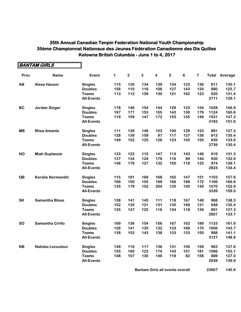|           | <b>BANTAM GIRLS</b>      |                   |     |                |              |                         |                         |         |                         |      |                      |
|-----------|--------------------------|-------------------|-----|----------------|--------------|-------------------------|-------------------------|---------|-------------------------|------|----------------------|
| Prov.     | <b>Name</b>              | Event             | 1   | $\overline{2}$ | $\mathbf{3}$ | $\overline{\mathbf{4}}$ | $\overline{\mathbf{5}}$ | $\bf 6$ | $\overline{\mathbf{7}}$ |      | <b>Total Average</b> |
| AB        | <b>Alexa Hauser</b>      | <b>Singles</b>    | 115 | 130            | 134          | 139                     | 134                     | 123     | 136                     | 911  | 130.1                |
|           |                          | <b>Doubles</b>    | 156 | 110            | 116          | 108                     | 127                     | 143     | 120                     | 880  | 125.7                |
|           |                          | <b>Teams</b>      | 113 | 112            | 159          | 130                     | 121                     | 162     | 123                     | 920  | 131.4                |
|           |                          | <b>All-Events</b> |     |                |              |                         |                         |         |                         | 2711 | 129.1                |
| <b>BC</b> | <b>Jordan Singer</b>     | <b>Singles</b>    | 178 | 146            | 154          | 144                     | 129                     | 123     | 154                     | 1028 | 146.9                |
|           |                          | <b>Doubles</b>    | 187 | 177            | 153          | 155                     | 143                     | 130     | 179                     | 1124 | 160.6                |
|           |                          | <b>Teams</b>      | 119 | 159            | 147          | 172                     | 153                     | 135     | 146                     | 1031 | 147.3                |
|           |                          | <b>All-Events</b> |     |                |              |                         |                         |         |                         | 3183 | 151.6                |
| <b>MB</b> | <b>Rhea Amante</b>       | <b>Singles</b>    | 111 | 126            | 149          | 153                     | 100                     | 129     | 123                     | 891  | 127.3                |
|           |                          | <b>Doubles</b>    | 128 | 139            | 159          | 97                      | 117                     | 137     | 136                     | 913  | 130.4                |
|           |                          | <b>Teams</b>      | 149 | 152            | 125          | 126                     | 123                     | 105     | 155                     | 935  | 133.6                |
|           |                          | <b>All-Events</b> |     |                |              |                         |                         |         |                         | 2739 | 130.4                |
| <b>NO</b> | <b>Miah Duplassie</b>    | <b>Singles</b>    | 133 | 122            | 115          | 147                     | 113                     | 143     | 146                     | 919  | 131.3                |
|           |                          | <b>Doubles</b>    | 137 | 134            | 124          | 176                     | 116                     | 99      | 144                     | 930  | 132.9                |
|           |                          | <b>Teams</b>      | 146 | 176            | 127          | 132                     | 150                     | 118     | 125                     | 974  | 139.1                |
|           |                          | <b>All-Events</b> |     |                |              |                         |                         |         |                         | 2823 | 134.4                |
| QB        | <b>Koralie Normandin</b> | <b>Singles</b>    | 115 | 191            | 169          | 168                     | 162                     | 147     | 151                     | 1103 | 157.6                |
|           |                          | <b>Doubles</b>    | 166 | 150            | 155          | 169                     | 166                     | 188     | 172                     | 1166 | 166.6                |
|           |                          | <b>Teams</b>      | 135 | 179            | 152          | 204                     | 135                     | 130     | 135                     | 1070 | 152.9                |
|           |                          | <b>All-Events</b> |     |                |              |                         |                         |         |                         | 3339 | 159.0                |
| <b>SK</b> | <b>Samantha Bloos</b>    | <b>Singles</b>    | 138 | 141            | 145          | 111                     | 118                     | 167     | 148                     | 968  | 138.3                |
|           |                          | <b>Doubles</b>    | 152 | 120            | 121          | 131                     | 135                     | 168     | 121                     | 948  | 135.4                |
|           |                          | <b>Teams</b>      | 125 | 137            | 125          | 116                     | 134                     | 118     | 136                     | 891  | 127.3                |
|           |                          | <b>All-Events</b> |     |                |              |                         |                         |         |                         | 2807 | 133.7                |
| <b>SO</b> | <b>Samantha Cirillo</b>  | <b>Singles</b>    | 169 | 136            | 154          | 156                     | 167                     | 162     | 189                     | 1133 | 161.9                |
|           |                          | <b>Doubles</b>    | 126 | 141            | 135          | 132                     | 133                     | 169     | 170                     | 1006 | 143.7                |
|           |                          | <b>Teams</b>      | 138 | 153            | 143          | 138                     | 133                     | 133     | 150                     | 988  | 141.1                |
|           |                          | <b>All-Events</b> |     |                |              |                         |                         |         |                         | 3127 | 148.9                |
| <b>NB</b> | Natiska Lecouteur        | <b>Singles</b>    | 149 | 116            | 117          | 136                     | 131                     | 156     | 158                     | 963  | 137.6                |
|           |                          | <b>Doubles</b>    | 155 | 160            | 122          | 174                     | 143                     | 151     | 181                     | 1086 | 155.1                |
|           |                          | <b>Teams</b>      | 148 | 107            | 130          | 146                     | 118                     | 82      | 158                     | 889  | 127.0                |
|           |                          | <b>All-Events</b> |     |                |              |                         |                         |         |                         | 2938 | 139.9                |

**Bantam Girls all events overall <b>1688** 23667 140.9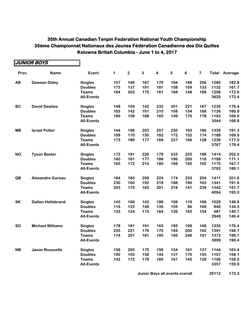|           | JUNIOR BOYS              |                   |     |                |              |                         |     |         |                         |      |                      |
|-----------|--------------------------|-------------------|-----|----------------|--------------|-------------------------|-----|---------|-------------------------|------|----------------------|
| Prov.     | <b>Name</b>              | <b>Event</b>      | 1   | $\overline{2}$ | $\mathbf{3}$ | $\overline{\mathbf{4}}$ | 5   | $\bf 6$ | $\overline{\mathbf{7}}$ |      | <b>Total Average</b> |
| AB        | <b>Dawson Daley</b>      | <b>Singles</b>    | 157 | 169            | 167          | 179                     | 164 | 188     | 256                     | 1280 | 182.9                |
|           |                          | <b>Doubles</b>    | 173 | 137            | 191          | 181                     | 158 | 159     | 133                     | 1132 | 161.7                |
|           |                          | <b>Teams</b>      | 164 | 203            | 175          | 161                     | 168 | 148     | 189                     | 1208 | 172.6                |
|           |                          | <b>All-Events</b> |     |                |              |                         |     |         |                         | 3620 | 172.4                |
| <b>BC</b> | <b>David Swailes</b>     | <b>Singles</b>    | 148 | 104            | 142          | 232                     | 201 | 221     | 187                     | 1235 | 176.4                |
|           |                          | <b>Doubles</b>    | 183 | 142            | 161          | 210                     | 108 | 154     | 168                     | 1126 | 160.9                |
|           |                          | <b>Teams</b>      | 180 | 158            | 188          | 160                     | 149 | 170     | 178                     | 1183 | 169.0                |
|           |                          | <b>All-Events</b> |     |                |              |                         |     |         |                         | 3544 | 168.8                |
| <b>MB</b> | <b>Israel Potter</b>     | <b>Singles</b>    | 144 | 196            | 203          | 207                     | 230 | 193     | 166                     | 1339 | 191.3                |
|           |                          | <b>Doubles</b>    | 189 | 170            | 150          | 182                     | 172 | 152     | 174                     | 1189 | 169.9                |
|           |                          | <b>Teams</b>      | 173 | 189            | 177          | 169                     | 237 | 166     | 128                     | 1239 | 177.0                |
|           |                          | <b>All-Events</b> |     |                |              |                         |     |         |                         | 3767 | 179.4                |
| <b>NO</b> | <b>Tyson Baxter</b>      | <b>Singles</b>    | 172 | 191            | 226          | 179                     | 233 | 225     | 188                     | 1414 | 202.0                |
|           |                          | <b>Doubles</b>    | 160 | 161            | 177          | 186                     | 196 | 200     | 118                     | 1198 | 171.1                |
|           |                          | <b>Teams</b>      | 165 | 172            | 215          | 180                     | 168 | 165     | 105                     | 1170 | 167.1                |
|           |                          | <b>All-Events</b> |     |                |              |                         |     |         |                         | 3782 | 180.1                |
| QB        | <b>Alexandre Gareau</b>  | <b>Singles</b>    | 184 | 183            | 209          | 224                     | 174 | 233     | 204                     | 1411 | 201.6                |
|           |                          | <b>Doubles</b>    | 230 | 160            | 192          | 218                     | 188 | 190     | 163                     | 1341 | 191.6                |
|           |                          | <b>Teams</b>      | 203 | 175            | 165          | 201                     | 218 | 141     | 239                     | 1342 | 191.7                |
|           |                          | <b>All-Events</b> |     |                |              |                         |     |         |                         | 4094 | 195.0                |
| <b>SK</b> | <b>Dalton Hellebrand</b> | <b>Singles</b>    | 143 | 166            | 142          | 186                     | 106 | 119     | 166                     | 1028 | 146.9                |
|           |                          | <b>Doubles</b>    | 116 | 123            | 146          | 135                     | 155 | 96      | 169                     | 940  | 134.3                |
|           |                          | <b>Teams</b>      | 133 | 124            | 115          | 164                     | 126 | 165     | 154                     | 981  | 140.1                |
|           |                          | <b>All-Events</b> |     |                |              |                         |     |         |                         | 2949 | 140.4                |
| <b>SO</b> | <b>Michael Williams</b>  | <b>Singles</b>    | 178 | 181            | 191          | 163                     | 185 | 169     | 168                     | 1235 | 176.4                |
|           |                          | <b>Doubles</b>    | 235 | 221            | 179          | 170                     | 194 | 200     | 192                     | 1391 | 198.7                |
|           |                          | <b>Teams</b>      | 174 | 201            | 181          | 195                     | 185 | 246     | 191                     | 1373 | 196.1                |
|           |                          | <b>All-Events</b> |     |                |              |                         |     |         |                         | 3999 | 190.4                |
| <b>NB</b> | <b>Jason Rousselle</b>   | <b>Singles</b>    | 156 | 205            | 175          | 156                     | 154 | 161     | 137                     | 1144 | 163.4                |
|           |                          | <b>Doubles</b>    | 190 | 153            | 158          | 144                     | 137 | 170     | 155                     | 1107 | 158.1                |
|           |                          | <b>Teams</b>      | 142 | 172            | 179          | 169                     | 161 | 145     | 138                     | 1106 | 158.0                |
|           |                          | <b>All-Events</b> |     |                |              |                         |     |         |                         | 3357 | 159.9                |

**Junior Boys all events overall <b>1688 29112** 173.3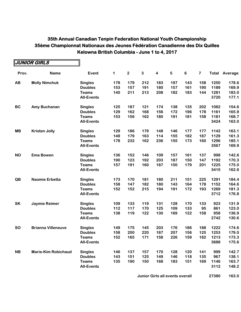|           | JUNIOR GIRLS               |                   |     |                         |              |                         |            |     |                         |      |                      |
|-----------|----------------------------|-------------------|-----|-------------------------|--------------|-------------------------|------------|-----|-------------------------|------|----------------------|
| Prov.     | <b>Name</b>                | Event             | 1   | $\overline{\mathbf{c}}$ | $\mathbf{3}$ | $\overline{\mathbf{4}}$ | $\sqrt{5}$ | 6   | $\overline{\mathbf{7}}$ |      | <b>Total Average</b> |
| AB        | <b>Molly Nimchuk</b>       | <b>Singles</b>    | 178 | 179                     | 212          | 183                     | 197        | 143 | 158                     | 1250 | 178.6                |
|           |                            | <b>Doubles</b>    | 153 | 157                     | 191          | 180                     | 157        | 161 | 190                     | 1189 | 169.9                |
|           |                            | <b>Teams</b>      | 140 | 211                     | 213          | 208                     | 182        | 183 | 144                     | 1281 | 183.0                |
|           |                            | <b>All-Events</b> |     |                         |              |                         |            |     |                         | 3720 | 177.1                |
| <b>BC</b> | Amy Buchanan               | <b>Singles</b>    | 125 | 187                     | 121          | 174                     | 138        | 135 | 202                     | 1082 | 154.6                |
|           |                            | <b>Doubles</b>    | 129 | 162                     | 168          | 156                     | 172        | 196 | 178                     | 1161 | 165.9                |
|           |                            | <b>Teams</b>      | 153 | 156                     | 162          | 180                     | 191        | 181 | 158                     | 1181 | 168.7                |
|           |                            | <b>All-Events</b> |     |                         |              |                         |            |     |                         | 3424 | 163.0                |
| <b>MB</b> | <b>Kristen Jolly</b>       | <b>Singles</b>    | 129 | 186                     | 179          | 148                     | 146        | 177 | 177                     | 1142 | 163.1                |
|           |                            | <b>Doubles</b>    | 149 | 179                     | 163          | 114                     | 155        | 182 | 187                     | 1129 | 161.3                |
|           |                            | <b>Teams</b>      | 178 | 232                     | 162          | 236                     | 155        | 173 | 160                     | 1296 | 185.1                |
|           |                            | <b>All-Events</b> |     |                         |              |                         |            |     |                         | 3567 | 169.9                |
| <b>NO</b> | <b>Ema Bowen</b>           | <b>Singles</b>    | 136 | 152                     | 146          | 109                     | 157        | 161 | 137                     | 998  | 142.6                |
|           |                            | <b>Doubles</b>    | 190 | 123                     | 192          | 203                     | 187        | 150 | 147                     | 1192 | 170.3                |
|           |                            | <b>Teams</b>      | 157 | 191                     | 160          | 187                     | 150        | 179 | 201                     | 1225 | 175.0                |
|           |                            | <b>All-Events</b> |     |                         |              |                         |            |     |                         | 3415 | 162.6                |
| QB        | Naomie Erbetta             | <b>Singles</b>    | 173 | 170                     | 181          | 180                     | 211        | 151 | 225                     | 1291 | 184.4                |
|           |                            | <b>Doubles</b>    | 158 | 147                     | 182          | 180                     | 143        | 164 | 178                     | 1152 | 164.6                |
|           |                            | <b>Teams</b>      | 152 | 152                     | 215          | 194                     | 191        | 172 | 193                     | 1269 | 181.3                |
|           |                            | <b>All-Events</b> |     |                         |              |                         |            |     |                         | 3712 | 176.8                |
| <b>SK</b> | Jaymie Reimer              | <b>Singles</b>    | 109 | 133                     | 119          | 131                     | 128        | 170 | 133                     | 923  | 131.9                |
|           |                            | <b>Doubles</b>    | 112 | 117                     | 170          | 125                     | 109        | 133 | 95                      | 861  | 123.0                |
|           |                            | <b>Teams</b>      | 138 | 119                     | 122          | 130                     | 169        | 122 | 158                     | 958  | 136.9                |
|           |                            | <b>All-Events</b> |     |                         |              |                         |            |     |                         | 2742 | 130.6                |
| <b>SO</b> | <b>Brianna Villeneuve</b>  | <b>Singles</b>    | 149 | 175                     | 145          | 203                     | 176        | 186 | 188                     | 1222 | 174.6                |
|           |                            | <b>Doubles</b>    | 158 | 200                     | 220          | 187                     | 207        | 156 | 125                     | 1253 | 179.0                |
|           |                            | <b>Teams</b>      | 152 | 165                     | 171          | 158                     | 226        | 159 | 182                     | 1213 | 173.3                |
|           |                            | <b>All-Events</b> |     |                         |              |                         |            |     |                         | 3688 | 175.6                |
| <b>NB</b> | <b>Marie-Kim Robichaud</b> | <b>Singles</b>    | 146 | 137                     | 157          | 170                     | 128        | 120 | 141                     | 999  | 142.7                |
|           |                            | <b>Doubles</b>    | 143 | 151                     | 125          | 149                     | 146        | 118 | 135                     | 967  | 138.1                |
|           |                            | <b>Teams</b>      | 135 | 190                     | 150          | 168                     | 183        | 151 | 169                     | 1146 | 163.7                |
|           |                            | <b>All-Events</b> |     |                         |              |                         |            |     |                         | 3112 | 148.2                |

**Junior Girls all events overall 168 27380 163.0**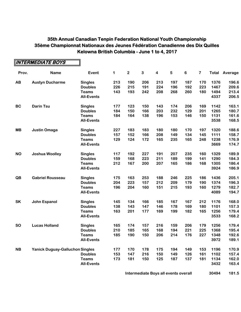|           | <b>INTERMEDIATE BOYS</b>               |                   |     |                         |              |                         |            |         |                         |      |                      |
|-----------|----------------------------------------|-------------------|-----|-------------------------|--------------|-------------------------|------------|---------|-------------------------|------|----------------------|
| Prov.     | <b>Name</b>                            | Event             | 1   | $\overline{\mathbf{c}}$ | $\mathbf{3}$ | $\overline{\mathbf{4}}$ | $\sqrt{5}$ | $\bf 6$ | $\overline{\mathbf{7}}$ |      | <b>Total Average</b> |
| AB        | <b>Austyn Ducharme</b>                 | <b>Singles</b>    | 213 | 190                     | 206          | 213                     | 197        | 187     | 170                     | 1376 | 196.6                |
|           |                                        | <b>Doubles</b>    | 226 | 215                     | 191          | 224                     | 196        | 192     | 223                     | 1467 | 209.6                |
|           |                                        | <b>Teams</b>      | 143 | 193                     | 242          | 208                     | 268        | 260     | 180                     | 1494 | 213.4                |
|           |                                        | <b>All-Events</b> |     |                         |              |                         |            |         |                         | 4337 | 206.5                |
| <b>BC</b> | <b>Darin Tsu</b>                       | <b>Singles</b>    | 177 | 123                     | 150          | 143                     | 174        | 206     | 169                     | 1142 | 163.1                |
|           |                                        | <b>Doubles</b>    | 184 | 150                     | 166          | 203                     | 232        | 129     | 201                     | 1265 | 180.7                |
|           |                                        | <b>Teams</b>      | 184 | 164                     | 138          | 196                     | 153        | 146     | 150                     | 1131 | 161.6                |
|           |                                        | <b>All-Events</b> |     |                         |              |                         |            |         |                         | 3538 | 168.5                |
| <b>MB</b> | <b>Justin Omaga</b>                    | <b>Singles</b>    | 227 | 183                     | 183          | 180                     | 180        | 170     | 197                     | 1320 | 188.6                |
|           |                                        | <b>Doubles</b>    | 157 | 152                     | 166          | 208                     | 149        | 134     | 145                     | 1111 | 158.7                |
|           |                                        | <b>Teams</b>      | 129 | 124                     | 172          | 165                     | 235        | 165     | 248                     | 1238 | 176.9                |
|           |                                        | <b>All-Events</b> |     |                         |              |                         |            |         |                         | 3669 | 174.7                |
| <b>NO</b> | <b>Joshua Woolley</b>                  | <b>Singles</b>    | 117 | 192                     | 227          | 191                     | 207        | 235     | 160                     | 1329 | 189.9                |
|           |                                        | <b>Doubles</b>    | 159 | 168                     | 223          | 211                     | 189        | 199     | 141                     | 1290 | 184.3                |
|           |                                        | <b>Teams</b>      | 212 | 167                     | 200          | 207                     | 165        | 186     | 168                     | 1305 | 186.4                |
|           |                                        | <b>All-Events</b> |     |                         |              |                         |            |         |                         | 3924 | 186.9                |
| QB        | <b>Gabriel Rousseau</b>                | <b>Singles</b>    | 175 | 163                     | 253          | 188                     | 246        | 225     | 186                     | 1436 | 205.1                |
|           |                                        | <b>Doubles</b>    | 204 | 223                     | 157          | 212                     | 209        | 179     | 190                     | 1374 | 196.3                |
|           |                                        | <b>Teams</b>      | 196 | 204                     | 160          | 151                     | 215        | 193     | 160                     | 1279 | 182.7                |
|           |                                        | <b>All-Events</b> |     |                         |              |                         |            |         |                         | 4089 | 194.7                |
| <b>SK</b> | <b>John Espanol</b>                    | <b>Singles</b>    | 145 | 134                     | 166          | 185                     | 167        | 167     | 212                     | 1176 | 168.0                |
|           |                                        | <b>Doubles</b>    | 138 | 143                     | 147          | 146                     | 178        | 169     | 180                     | 1101 | 157.3                |
|           |                                        | <b>Teams</b>      | 163 | 201                     | 177          | 169                     | 199        | 182     | 165                     | 1256 | 179.4                |
|           |                                        | <b>All-Events</b> |     |                         |              |                         |            |         |                         | 3533 | 168.2                |
| <b>SO</b> | <b>Lucas Holland</b>                   | <b>Singles</b>    | 165 | 174                     | 157          | 216                     | 159        | 206     | 179                     | 1256 | 179.4                |
|           |                                        | <b>Doubles</b>    | 210 | 185                     | 165          | 168                     | 194        | 221     | 225                     | 1368 | 195.4                |
|           |                                        | <b>Teams</b>      | 185 | 190                     | 150          | 206                     | 214        | 176     | 227                     | 1348 | 192.6                |
|           |                                        | <b>All-Events</b> |     |                         |              |                         |            |         |                         | 3972 | 189.1                |
| <b>NB</b> | <b>Yanick Duguay-Galluchon Singles</b> |                   | 177 | 170                     | 178          | 175                     | 194        | 149     | 153                     | 1196 | 170.9                |
|           |                                        | <b>Doubles</b>    | 153 | 147                     | 216          | 150                     | 149        | 126     | 161                     | 1102 | 157.4                |
|           |                                        | <b>Teams</b>      | 173 | 181                     | 150          | 125                     | 187        | 137     | 181                     | 1134 | 162.0                |
|           |                                        | <b>All-Events</b> |     |                         |              |                         |            |         |                         | 3432 | 163.4                |
|           |                                        |                   |     |                         |              |                         |            |         |                         |      |                      |

**Intermediate Boys all events overall <b>168 181.5**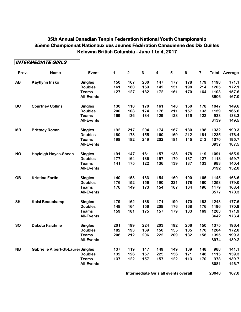**INTERMEDIATE GIRLS**

┑

| Prov.     | <b>Name</b>                               | Event             | 1   | $\mathbf{2}$ | $\mathbf{3}$ | $\overline{\mathbf{4}}$ | $\sqrt{5}$ | $\bf 6$ | $\overline{\mathbf{7}}$ |      | <b>Total Average</b> |
|-----------|-------------------------------------------|-------------------|-----|--------------|--------------|-------------------------|------------|---------|-------------------------|------|----------------------|
| AB        | <b>Kaytlynn Insko</b>                     | <b>Singles</b>    | 150 | 167          | 200          | 147                     | 177        | 178     | 179                     | 1198 | 171.1                |
|           |                                           | <b>Doubles</b>    | 161 | 180          | 159          | 142                     | 151        | 198     | 214                     | 1205 | 172.1                |
|           |                                           | <b>Teams</b>      | 127 | 127          | 182          | 172                     | 161        | 170     | 164                     | 1103 | 157.6                |
|           |                                           | <b>All-Events</b> |     |              |              |                         |            |         |                         | 3506 | 167.0                |
| <b>BC</b> | <b>Courtney Collins</b>                   | <b>Singles</b>    | 130 | 110          | 170          | 161                     | 148        | 150     | 178                     | 1047 | 149.6                |
|           |                                           | <b>Doubles</b>    | 200 | 108          | 174          | 176                     | 211        | 157     | 133                     | 1159 | 165.6                |
|           |                                           | <b>Teams</b>      | 169 | 136          | 134          | 129                     | 128        | 115     | 122                     | 933  | 133.3                |
|           |                                           | <b>All-Events</b> |     |              |              |                         |            |         |                         | 3139 | 149.5                |
| <b>MB</b> | <b>Brittney Rocan</b>                     | <b>Singles</b>    | 192 | 217          | 204          | 174                     | 167        | 180     | 198                     | 1332 | 190.3                |
|           |                                           | <b>Doubles</b>    | 180 | 178          | 155          | 160                     | 169        | 212     | 181                     | 1235 | 176.4                |
|           |                                           | <b>Teams</b>      | 198 | 182          | 249          | 202                     | 181        | 145     | 213                     | 1370 | 195.7                |
|           |                                           | <b>All-Events</b> |     |              |              |                         |            |         |                         | 3937 | 187.5                |
| <b>NO</b> | <b>Hayleigh Hayes-Sheen</b>               | <b>Singles</b>    | 191 | 147          | 161          | 157                     | 138        | 178     | 119                     | 1091 | 155.9                |
|           |                                           | <b>Doubles</b>    | 177 | 164          | 186          | 157                     | 170        | 137     | 127                     | 1118 | 159.7                |
|           |                                           | <b>Teams</b>      | 141 | 175          | 122          | 136                     | 139        | 137     | 133                     | 983  | 140.4                |
|           |                                           | <b>All-Events</b> |     |              |              |                         |            |         |                         | 3192 | 152.0                |
| QB        | <b>Kristina Fortin</b>                    | <b>Singles</b>    | 140 | 153          | 183          | 154                     | 160        | 190     | 165                     | 1145 | 163.6                |
|           |                                           | <b>Doubles</b>    | 176 | 152          | 156          | 190                     | 221        | 178     | 180                     | 1253 | 179.0                |
|           |                                           | <b>Teams</b>      | 176 | 149          | 173          | 154                     | 167        | 164     | 196                     | 1179 | 168.4                |
|           |                                           | <b>All-Events</b> |     |              |              |                         |            |         |                         | 3577 | 170.3                |
| <b>SK</b> | <b>Kelsi Beauchamp</b>                    | <b>Singles</b>    | 179 | 162          | 188          | 171                     | 190        | 170     | 183                     | 1243 | 177.6                |
|           |                                           | <b>Doubles</b>    | 148 | 164          | 156          | 208                     | 176        | 168     | 176                     | 1196 | 170.9                |
|           |                                           | <b>Teams</b>      | 159 | 181          | 175          | 157                     | 179        | 183     | 169                     | 1203 | 171.9                |
|           |                                           | <b>All-Events</b> |     |              |              |                         |            |         |                         | 3642 | 173.4                |
| <b>SO</b> | <b>Dakota Faichnie</b>                    | <b>Singles</b>    | 201 | 199          | 224          | 203                     | 192        | 206     | 150                     | 1375 | 196.4                |
|           |                                           | <b>Doubles</b>    | 182 | 193          | 169          | 150                     | 155        | 185     | 170                     | 1204 | 172.0                |
|           |                                           | <b>Teams</b>      | 206 | 212          | 206          | 222                     | 209        | 182     | 158                     | 1395 | 199.3                |
|           |                                           | <b>All-Events</b> |     |              |              |                         |            |         |                         | 3974 | 189.2                |
| <b>NB</b> | <b>Gabrielle Albert-St-Laurei Singles</b> |                   | 137 | 119          | 147          | 149                     | 149        | 139     | 148                     | 988  | 141.1                |
|           |                                           | <b>Doubles</b>    | 132 | 126          | 157          | 225                     | 156        | 171     | 148                     | 1115 | 159.3                |
|           |                                           | <b>Teams</b>      | 137 | 122          | 157          | 157                     | 122        | 113     | 170                     | 978  | 139.7                |
|           |                                           | <b>All-Events</b> |     |              |              |                         |            |         |                         | 3081 | 146.7                |

**Intermediate Girls all events overall <b>167.0 28048** 167.0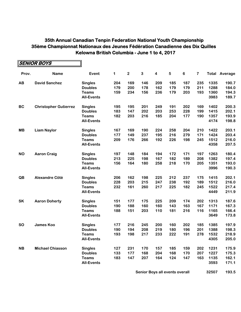|           | <b>SENIOR BOYS</b>           |                   |             |             |     |     |            |         |                         |      |                      |
|-----------|------------------------------|-------------------|-------------|-------------|-----|-----|------------|---------|-------------------------|------|----------------------|
| Prov.     | <b>Name</b>                  | Event             | $\mathbf 1$ | $\mathbf 2$ | 3   | 4   | $\sqrt{5}$ | $\bf 6$ | $\overline{\mathbf{7}}$ |      | <b>Total Average</b> |
| AB        | <b>David Sanchez</b>         | <b>Singles</b>    | 204         | 169         | 146 | 209 | 185        | 187     | 235                     | 1335 | 190.7                |
|           |                              | <b>Doubles</b>    | 179         | 200         | 178 | 162 | 179        | 179     | 211                     | 1288 | 184.0                |
|           |                              | <b>Teams</b>      | 159         | 234         | 156 | 236 | 179        | 203     | 193                     | 1360 | 194.3                |
|           |                              | <b>All-Events</b> |             |             |     |     |            |         |                         | 3983 | 189.7                |
| BC        | <b>Christopher Gutierrez</b> | <b>Singles</b>    | 195         | 195         | 201 | 249 | 191        | 202     | 169                     | 1402 | 200.3                |
|           |                              | <b>Doubles</b>    | 183         | 147         | 202 | 203 | 253        | 228     | 199                     | 1415 | 202.1                |
|           |                              | <b>Teams</b>      | 182         | 203         | 216 | 185 | 204        | 177     | 190                     | 1357 | 193.9                |
|           |                              | <b>All-Events</b> |             |             |     |     |            |         |                         | 4174 | 198.8                |
| <b>MB</b> | <b>Liam Naylor</b>           | <b>Singles</b>    | 167         | 169         | 190 | 224 | 258        | 204     | 210                     | 1422 | 203.1                |
|           |                              | <b>Doubles</b>    | 177         | 149         | 237 | 195 | 216        | 279     | 171                     | 1424 | 203.4                |
|           |                              | <b>Teams</b>      | 209         | 176         | 266 | 192 | 226        | 198     | 245                     | 1512 | 216.0                |
|           |                              | <b>All-Events</b> |             |             |     |     |            |         |                         | 4358 | 207.5                |
| <b>NO</b> | <b>Aaron Craig</b>           | <b>Singles</b>    | 197         | 148         | 184 | 194 | 172        | 171     | 197                     | 1263 | 180.4                |
|           |                              | <b>Doubles</b>    | 213         | 225         | 198 | 167 | 182        | 189     | 208                     | 1382 | 197.4                |
|           |                              | <b>Teams</b>      | 156         | 164         | 180 | 258 | 218        | 170     | 205                     | 1351 | 193.0                |
|           |                              | <b>All-Events</b> |             |             |     |     |            |         |                         | 3996 | 190.3                |
| QB        | <b>Alexandre Côté</b>        | <b>Singles</b>    | 206         | 162         | 198 | 225 | 212        | 237     | 175                     | 1415 | 202.1                |
|           |                              | <b>Doubles</b>    | 228         | 203         | 215 | 247 | 238        | 192     | 189                     | 1512 | 216.0                |
|           |                              | <b>Teams</b>      | 232         | 161         | 260 | 217 | 225        | 182     | 245                     | 1522 | 217.4                |
|           |                              | <b>All-Events</b> |             |             |     |     |            |         |                         | 4449 | 211.9                |
| <b>SK</b> | <b>Aaron Doherty</b>         | <b>Singles</b>    | 151         | 177         | 175 | 225 | 209        | 174     | 202                     | 1313 | 187.6                |
|           |                              | <b>Doubles</b>    | 190         | 188         | 160 | 160 | 143        | 163     | 167                     | 1171 | 167.3                |
|           |                              | <b>Teams</b>      | 188         | 151         | 203 | 110 | 181        | 216     | 116                     | 1165 | 166.4                |
|           |                              | <b>All-Events</b> |             |             |     |     |            |         |                         | 3649 | 173.8                |
| <b>SO</b> | <b>James Koo</b>             | <b>Singles</b>    | 177         | 216         | 245 | 200 | 160        | 202     | 185                     | 1385 | 197.9                |
|           |                              | <b>Doubles</b>    | 190         | 194         | 208 | 219 | 180        | 196     | 201                     | 1388 | 198.3                |
|           |                              | Teams             | 193         | 198         | 217 | 233 | 222        | 191     | 278                     | 1532 | 218.9                |
|           |                              | <b>All-Events</b> |             |             |     |     |            |         |                         | 4305 | 205.0                |
| <b>NB</b> | <b>Michael Chiasson</b>      | <b>Singles</b>    | 127         | 231         | 170 | 157 | 185        | 159     | 202                     | 1231 | 175.9                |
|           |                              | <b>Doubles</b>    | 133         | 177         | 168 | 204 | 168        | 170     | 207                     | 1227 | 175.3                |
|           |                              | <b>Teams</b>      | 183         | 147         | 207 | 164 | 124        | 147     | 163                     | 1135 | 162.1                |
|           |                              | <b>All-Events</b> |             |             |     |     |            |         |                         | 3593 | 171.1                |

**Senior Boys all events overall 1688 1688 1688 1688 1688 1688 1688 1688 1688 1688 1688 1688 1688 1688 1688 1688 1688 1688 1688 1688 1688 1688 1688 1688 1688 1688 1688**